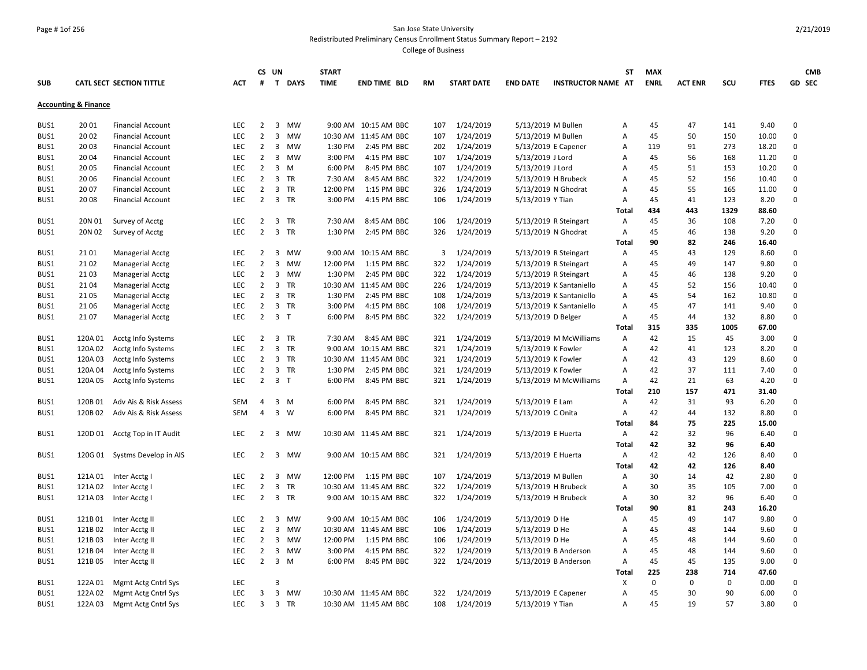#### Page # 1of 256 San Jose State University Redistributed Preliminary Census Enrollment Status Summary Report – 2192

|            |                                 |                               |            |                | CS UN          |           | <b>START</b> |                       |           |                   |                   |                           | ST           | <b>MAX</b>  |                |      |             | <b>CMB</b>   |
|------------|---------------------------------|-------------------------------|------------|----------------|----------------|-----------|--------------|-----------------------|-----------|-------------------|-------------------|---------------------------|--------------|-------------|----------------|------|-------------|--------------|
| <b>SUB</b> |                                 | CATL SECT SECTION TITTLE      | <b>ACT</b> | #              |                | T DAYS    | <b>TIME</b>  | <b>END TIME BLD</b>   | <b>RM</b> | <b>START DATE</b> | <b>END DATE</b>   | <b>INSTRUCTOR NAME AT</b> |              | <b>ENRL</b> | <b>ACT ENR</b> | SCU  | <b>FTES</b> | GD SEC       |
|            | <b>Accounting &amp; Finance</b> |                               |            |                |                |           |              |                       |           |                   |                   |                           |              |             |                |      |             |              |
| BUS1       | 20 01                           | <b>Financial Account</b>      | LEC        | $\overline{2}$ |                | 3 MW      |              | 9:00 AM 10:15 AM BBC  | 107       | 1/24/2019         |                   | 5/13/2019 M Bullen        | A            | 45          | 47             | 141  | 9.40        | 0            |
| BUS1       | 20 02                           | <b>Financial Account</b>      | <b>LEC</b> | $\overline{2}$ | $\mathbf{3}$   | MW        |              | 10:30 AM 11:45 AM BBC | 107       | 1/24/2019         |                   | 5/13/2019 M Bullen        | A            | 45          | 50             | 150  | 10.00       | $\mathbf 0$  |
| BUS1       | 2003                            | <b>Financial Account</b>      | <b>LEC</b> | $\overline{2}$ | 3              | MW        | 1:30 PM      | 2:45 PM BBC           | 202       | 1/24/2019         |                   | 5/13/2019 E Capener       | Α            | 119         | 91             | 273  | 18.20       | 0            |
| BUS1       | 2004                            | <b>Financial Account</b>      | <b>LEC</b> | 2              |                | 3 MW      | 3:00 PM      | 4:15 PM BBC           | 107       | 1/24/2019         | 5/13/2019 J Lord  |                           | A            | 45          | 56             | 168  | 11.20       | 0            |
| BUS1       | 20 05                           | <b>Financial Account</b>      | <b>LEC</b> | $\overline{2}$ | $\overline{3}$ | M         | 6:00 PM      | 8:45 PM BBC           | 107       | 1/24/2019         | 5/13/2019 J Lord  |                           | A            | 45          | 51             | 153  | 10.20       | $\mathbf 0$  |
| BUS1       | 20 06                           | <b>Financial Account</b>      | <b>LEC</b> | $\overline{2}$ |                | 3 TR      | 7:30 AM      | 8:45 AM BBC           | 322       | 1/24/2019         |                   | 5/13/2019 H Brubeck       | A            | 45          | 52             | 156  | 10.40       | $\mathbf 0$  |
| BUS1       | 20 07                           | <b>Financial Account</b>      | <b>LEC</b> | $\overline{2}$ |                | 3 TR      | 12:00 PM     | 1:15 PM BBC           | 326       | 1/24/2019         |                   | 5/13/2019 N Ghodrat       | A            | 45          | 55             | 165  | 11.00       | $\mathsf 0$  |
| BUS1       | 2008                            | <b>Financial Account</b>      | <b>LEC</b> | $\overline{2}$ |                | 3 TR      | 3:00 PM      | 4:15 PM BBC           | 106       | 1/24/2019         | 5/13/2019 Y Tian  |                           | Α            | 45          | 41             | 123  | 8.20        | 0            |
|            |                                 |                               |            |                |                |           |              |                       |           |                   |                   |                           | Total        | 434         | 443            | 1329 | 88.60       |              |
| BUS1       | 20N 01                          | Survey of Acctg               | <b>LEC</b> | $\overline{2}$ |                | 3 TR      | 7:30 AM      | 8:45 AM BBC           | 106       | 1/24/2019         |                   | 5/13/2019 R Steingart     | Α            | 45          | 36             | 108  | 7.20        | $\mathbf 0$  |
| BUS1       | 20N 02                          | Survey of Acctg               | <b>LEC</b> | $\overline{2}$ |                | 3 TR      | 1:30 PM      | 2:45 PM BBC           | 326       | 1/24/2019         |                   | 5/13/2019 N Ghodrat       | Α            | 45          | 46             | 138  | 9.20        | 0            |
|            |                                 |                               |            |                |                |           |              |                       |           |                   |                   |                           | <b>Total</b> | 90          | 82             | 246  | 16.40       |              |
| BUS1       | 21 01                           | Managerial Acctg              | <b>LEC</b> | 2              |                | 3 MW      |              | 9:00 AM 10:15 AM BBC  | 3         | 1/24/2019         |                   | 5/13/2019 R Steingart     | Α            | 45          | 43             | 129  | 8.60        | 0            |
| BUS1       | 21 02                           | <b>Managerial Acctg</b>       | LEC        | $\overline{2}$ |                | 3 MW      | 12:00 PM     | 1:15 PM BBC           | 322       | 1/24/2019         |                   | 5/13/2019 R Steingart     | A            | 45          | 49             | 147  | 9.80        | $\mathbf 0$  |
| BUS1       | 2103                            | <b>Managerial Acctg</b>       | <b>LEC</b> | $\overline{2}$ |                | 3 MW      | 1:30 PM      | 2:45 PM BBC           | 322       | 1/24/2019         |                   | 5/13/2019 R Steingart     | А            | 45          | 46             | 138  | 9.20        | $\mathbf 0$  |
| BUS1       | 2104                            | Managerial Acctg              | <b>LEC</b> | $\overline{2}$ |                | 3 TR      |              | 10:30 AM 11:45 AM BBC | 226       | 1/24/2019         |                   | 5/13/2019 K Santaniello   | Α            | 45          | 52             | 156  | 10.40       | 0            |
| BUS1       | 2105                            | Managerial Acctg              | <b>LEC</b> | $\overline{2}$ |                | 3 TR      | 1:30 PM      | 2:45 PM BBC           | 108       | 1/24/2019         |                   | 5/13/2019 K Santaniello   | A            | 45          | 54             | 162  | 10.80       | 0            |
| BUS1       | 21 06                           | <b>Managerial Acctg</b>       | LEC        | $\overline{2}$ |                | 3 TR      | 3:00 PM      | 4:15 PM BBC           | 108       | 1/24/2019         |                   | 5/13/2019 K Santaniello   | A            | 45          | 47             | 141  | 9.40        | 0            |
| BUS1       | 2107                            | <b>Managerial Acctg</b>       | <b>LEC</b> | $\overline{2}$ | 3 <sub>T</sub> |           | 6:00 PM      | 8:45 PM BBC           | 322       | 1/24/2019         |                   | 5/13/2019 D Belger        | Α            | 45          | 44             | 132  | 8.80        | $\mathbf 0$  |
|            |                                 |                               |            |                |                |           |              |                       |           |                   |                   |                           | <b>Total</b> | 315         | 335            | 1005 | 67.00       |              |
| BUS1       | 120A 01                         | Acctg Info Systems            | <b>LEC</b> | 2              |                | 3 TR      | 7:30 AM      | 8:45 AM BBC           |           | 321 1/24/2019     |                   | 5/13/2019 M McWilliams    | A            | 42          | 15             | 45   | 3.00        | 0            |
| BUS1       | 120A 02                         | Acctg Info Systems            | <b>LEC</b> | $\overline{2}$ |                | 3 TR      |              | 9:00 AM 10:15 AM BBC  |           | 321 1/24/2019     |                   | 5/13/2019 K Fowler        | Α            | 42          | 41             | 123  | 8.20        | $\mathbf 0$  |
| BUS1       | 120A03                          | Acctg Info Systems            | <b>LEC</b> | $\overline{2}$ |                | 3 TR      |              | 10:30 AM 11:45 AM BBC |           | 321 1/24/2019     |                   | 5/13/2019 K Fowler        | A            | 42          | 43             | 129  | 8.60        | $\mathbf 0$  |
| BUS1       | 120A 04                         | Acctg Info Systems            | <b>LEC</b> | $\overline{2}$ |                | 3 TR      | 1:30 PM      | 2:45 PM BBC           | 321       | 1/24/2019         |                   | 5/13/2019 K Fowler        | A            | 42          | 37             | 111  | 7.40        | 0            |
| BUS1       | 120A 05                         | Acctg Info Systems            | <b>LEC</b> | $\overline{2}$ | 3 <sub>1</sub> |           | 6:00 PM      | 8:45 PM BBC           |           | 321 1/24/2019     |                   | 5/13/2019 M McWilliams    | A            | 42          | 21             | 63   | 4.20        | $\mathbf 0$  |
|            |                                 |                               |            |                |                |           |              |                       |           |                   |                   |                           | Total        | 210         | 157            | 471  | 31.40       |              |
| BUS1       | 120B01                          | Adv Ais & Risk Assess         | <b>SEM</b> | 4              | 3              | M         | 6:00 PM      | 8:45 PM BBC           | 321       | 1/24/2019         | 5/13/2019 E Lam   |                           | Α            | 42          | 31             | 93   | 6.20        | 0            |
| BUS1       | 120B 02                         | Adv Ais & Risk Assess         | <b>SEM</b> | $\overline{4}$ | $\overline{3}$ | <b>W</b>  | 6:00 PM      | 8:45 PM BBC           | 321       | 1/24/2019         | 5/13/2019 C Onita |                           | Α            | 42          | 44             | 132  | 8.80        | 0            |
|            |                                 |                               |            |                |                |           |              |                       |           |                   |                   |                           | Total        | 84          | 75             | 225  | 15.00       |              |
| BUS1       | 120D 01                         | Acctg Top in IT Audit         | LEC        | $\overline{2}$ |                | 3 MW      |              | 10:30 AM 11:45 AM BBC | 321       | 1/24/2019         |                   | 5/13/2019 E Huerta        | Α            | 42          | 32             | 96   | 6.40        | 0            |
|            |                                 |                               |            |                |                |           |              |                       |           |                   |                   |                           | <b>Total</b> | 42          | 32             | 96   | 6.40        |              |
| BUS1       |                                 | 120G 01 Systms Develop in AIS | <b>LEC</b> | $\overline{2}$ |                | 3 MW      |              | 9:00 AM 10:15 AM BBC  |           | 321 1/24/2019     |                   | 5/13/2019 E Huerta        | Α            | 42          | 42             | 126  | 8.40        | 0            |
|            |                                 |                               |            |                |                |           |              |                       |           |                   |                   |                           | <b>Total</b> | 42          | 42             | 126  | 8.40        |              |
| BUS1       | 121A 01                         | Inter Acctg I                 | <b>LEC</b> | $\overline{2}$ |                | 3 MW      | 12:00 PM     | 1:15 PM BBC           | 107       | 1/24/2019         |                   | 5/13/2019 M Bullen        | A            | 30          | 14             | 42   | 2.80        | $\mathbf 0$  |
| BUS1       | 121A 02                         | Inter Acctg I                 | LEC        | $\overline{2}$ |                | 3 TR      |              | 10:30 AM 11:45 AM BBC | 322       | 1/24/2019         |                   | 5/13/2019 H Brubeck       | A            | 30          | 35             | 105  | 7.00        | $\mathbf 0$  |
| BUS1       | 121A 03                         | Inter Acctg I                 | <b>LEC</b> | $2^{\circ}$    |                | 3 TR      |              | 9:00 AM 10:15 AM BBC  |           | 322 1/24/2019     |                   | 5/13/2019 H Brubeck       | Α            | 30          | 32             | 96   | 6.40        | 0            |
|            |                                 |                               |            |                |                |           |              |                       |           |                   |                   |                           | Total        | 90          | 81             | 243  | 16.20       |              |
| BUS1       | 121B01                          | Inter Acctg II                | <b>LEC</b> | $\overline{2}$ | $\overline{3}$ | <b>MW</b> |              | 9:00 AM 10:15 AM BBC  | 106       | 1/24/2019         | 5/13/2019 D He    |                           | Α            | 45          | 49             | 147  | 9.80        | $\mathbf 0$  |
| BUS1       | 121B02                          | Inter Acctg II                | <b>LEC</b> | $\overline{2}$ | $\mathbf{3}$   | MW        |              | 10:30 AM 11:45 AM BBC | 106       | 1/24/2019         | 5/13/2019 D He    |                           | A            | 45          | 48             | 144  | 9.60        | $\mathsf 0$  |
| BUS1       | 121B03                          | Inter Acctg II                | <b>LEC</b> | $\overline{2}$ |                | 3 MW      | 12:00 PM     | 1:15 PM BBC           | 106       | 1/24/2019         | 5/13/2019 D He    |                           | A            | 45          | 48             | 144  | 9.60        | $\mathbf 0$  |
| BUS1       | 121B 04                         | Inter Acctg II                | <b>LEC</b> | $\overline{2}$ |                | 3 MW      | 3:00 PM      | 4:15 PM BBC           | 322       | 1/24/2019         |                   | 5/13/2019 B Anderson      | Α            | 45          | 48             | 144  | 9.60        | 0            |
| BUS1       | 121B05                          | Inter Acctg II                | <b>LEC</b> | $\overline{2}$ | $\mathbf{3}$   | M         | 6:00 PM      | 8:45 PM BBC           | 322       | 1/24/2019         |                   | 5/13/2019 B Anderson      | A            | 45          | 45             | 135  | 9.00        | 0            |
|            |                                 |                               |            |                |                |           |              |                       |           |                   |                   |                           | Total        | 225         | 238            | 714  | 47.60       |              |
| BUS1       | 122A 01                         | Mgmt Actg Cntrl Sys           | <b>LEC</b> |                | $\overline{3}$ |           |              |                       |           |                   |                   |                           | х            | $\Omega$    | $\mathbf 0$    | 0    | 0.00        | 0            |
| BUS1       | 122A 02                         | Mgmt Actg Cntrl Sys           | LEC        | 3              |                | 3 MW      |              | 10:30 AM 11:45 AM BBC | 322       | 1/24/2019         |                   | 5/13/2019 E Capener       | A            | 45          | 30             | 90   | 6.00        | $\mathbf{0}$ |
| BUS1       | 122A 03                         | Mgmt Actg Cntrl Sys           | <b>LEC</b> | $\mathbf{3}$   |                | 3 TR      |              | 10:30 AM 11:45 AM BBC | 108       | 1/24/2019         | 5/13/2019 Y Tian  |                           | Α            | 45          | 19             | 57   | 3.80        | $\mathbf 0$  |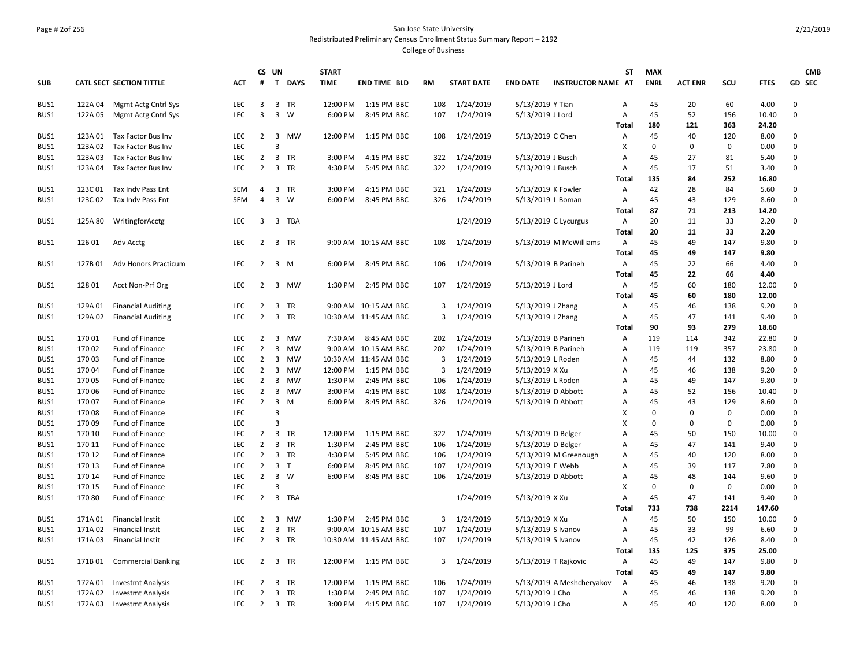# Page # 2of 256 San Jose State University Redistributed Preliminary Census Enrollment Status Summary Report – 2192

|            |         |                                 |            |                | CS UN               |                | <b>START</b> |                       |           |                   |                    |                           | <b>ST</b>    | <b>MAX</b>  |                |      |             | <b>CMB</b>  |
|------------|---------|---------------------------------|------------|----------------|---------------------|----------------|--------------|-----------------------|-----------|-------------------|--------------------|---------------------------|--------------|-------------|----------------|------|-------------|-------------|
| <b>SUB</b> |         | <b>CATL SECT SECTION TITTLE</b> | <b>ACT</b> | #              |                     | T DAYS         | <b>TIME</b>  | <b>END TIME BLD</b>   | <b>RM</b> | <b>START DATE</b> | <b>END DATE</b>    | <b>INSTRUCTOR NAME AT</b> |              | <b>ENRL</b> | <b>ACT ENR</b> | scu  | <b>FTES</b> | GD SEC      |
| BUS1       | 122A 04 | Mgmt Actg Cntrl Sys             | LEC        | 3              |                     | 3 TR           | 12:00 PM     | 1:15 PM BBC           | 108       | 1/24/2019         | 5/13/2019 Y Tian   |                           | А            | 45          | 20             | 60   | 4.00        | 0           |
| BUS1       | 122A 05 | Mgmt Actg Cntrl Sys             | LEC        | 3              |                     | $3 \quad W$    | 6:00 PM      | 8:45 PM BBC           | 107       | 1/24/2019         | 5/13/2019 J Lord   |                           | Α            | 45          | 52             | 156  | 10.40       | 0           |
|            |         |                                 |            |                |                     |                |              |                       |           |                   |                    |                           | Total        | 180         | 121            | 363  | 24.20       |             |
| BUS1       | 123A 01 | Tax Factor Bus Inv              | LEC        | $\overline{2}$ |                     | 3 MW           | 12:00 PM     | 1:15 PM BBC           | 108       | 1/24/2019         | 5/13/2019 C Chen   |                           | Α            | 45          | 40             | 120  | 8.00        | 0           |
| BUS1       | 123A 02 | Tax Factor Bus Inv              | <b>LEC</b> |                | $\overline{3}$      |                |              |                       |           |                   |                    |                           | X            | 0           | $\mathbf 0$    | 0    | 0.00        | $\mathbf 0$ |
| BUS1       | 123A03  | Tax Factor Bus Inv              | <b>LEC</b> | 2              |                     | 3 TR           | 3:00 PM      | 4:15 PM BBC           | 322       | 1/24/2019         | 5/13/2019 J Busch  |                           | Α            | 45          | 27             | 81   | 5.40        | $\mathbf 0$ |
| BUS1       | 123A 04 | Tax Factor Bus Inv              | LEC        | $\overline{2}$ |                     | 3 TR           | 4:30 PM      | 5:45 PM BBC           | 322       | 1/24/2019         | 5/13/2019 J Busch  |                           | Α            | 45          | 17             | 51   | 3.40        | $\Omega$    |
|            |         |                                 |            |                |                     |                |              |                       |           |                   |                    |                           | Total        | 135         | 84             | 252  | 16.80       |             |
| BUS1       | 123C 01 | Tax Indv Pass Ent               | SEM        | $\overline{4}$ |                     | 3 TR           | 3:00 PM      | 4:15 PM BBC           | 321       | 1/24/2019         | 5/13/2019 K Fowler |                           | Α            | 42          | 28             | 84   | 5.60        | 0           |
| BUS1       | 123C 02 | Tax Indy Pass Ent               | <b>SEM</b> | $\overline{4}$ |                     | $3 \quad W$    | 6:00 PM      | 8:45 PM BBC           | 326       | 1/24/2019         | 5/13/2019 L Boman  |                           | Α            | 45          | 43             | 129  | 8.60        | 0           |
|            |         |                                 |            |                |                     |                |              |                       |           |                   |                    |                           | <b>Total</b> | 87          | 71             | 213  | 14.20       |             |
| BUS1       | 125A 80 | WritingforAcctg                 | <b>LEC</b> |                |                     | 3 3 TBA        |              |                       |           | 1/24/2019         |                    | 5/13/2019 C Lycurgus      | Α            | 20          | 11             | 33   | 2.20        | 0           |
|            |         |                                 |            |                |                     |                |              |                       |           |                   |                    |                           | <b>Total</b> | 20          | 11             | 33   | 2.20        |             |
| BUS1       | 126 01  | Adv Acctg                       | <b>LEC</b> |                |                     | 2 3 TR         |              | 9:00 AM 10:15 AM BBC  | 108       | 1/24/2019         |                    | 5/13/2019 M McWilliams    | Α            | 45          | 49             | 147  | 9.80        | 0           |
|            |         |                                 |            |                |                     |                |              |                       |           |                   |                    |                           | <b>Total</b> | 45          | 49             | 147  | 9.80        |             |
| BUS1       | 127B01  | <b>Adv Honors Practicum</b>     | LEC        |                | $2 \quad 3 \quad M$ |                | 6:00 PM      | 8:45 PM BBC           | 106       | 1/24/2019         |                    | 5/13/2019 B Parineh       | Α            | 45          | 22             | 66   | 4.40        | 0           |
|            |         |                                 |            |                |                     |                |              |                       |           |                   |                    |                           | <b>Total</b> | 45          | 22             | 66   | 4.40        |             |
| BUS1       | 128 01  | Acct Non-Prf Org                | LEC        | $\overline{2}$ |                     | 3 MW           | 1:30 PM      | 2:45 PM BBC           | 107       | 1/24/2019         | 5/13/2019 J Lord   |                           | Α            | 45          | 60             | 180  | 12.00       | 0           |
|            |         |                                 |            |                |                     |                |              |                       |           |                   |                    |                           | <b>Total</b> | 45          | 60             | 180  | 12.00       |             |
| BUS1       | 129A 01 | <b>Financial Auditing</b>       | <b>LEC</b> | $\overline{2}$ |                     | 3 TR           |              | 9:00 AM 10:15 AM BBC  |           | 3 1/24/2019       | 5/13/2019 J Zhang  |                           | Α            | 45          | 46             | 138  | 9.20        | 0           |
| BUS1       | 129A 02 | <b>Financial Auditing</b>       | <b>LEC</b> | $\overline{2}$ |                     | 3 TR           |              | 10:30 AM 11:45 AM BBC | 3         | 1/24/2019         | 5/13/2019 J Zhang  |                           | Α            | 45          | 47             | 141  | 9.40        | 0           |
|            |         |                                 |            |                |                     |                |              |                       |           |                   |                    |                           | <b>Total</b> | 90          | 93             | 279  | 18.60       |             |
| BUS1       | 170 01  | Fund of Finance                 | <b>LEC</b> | $2^{\circ}$    |                     | 3 MW           | 7:30 AM      | 8:45 AM BBC           |           | 202 1/24/2019     |                    | 5/13/2019 B Parineh       | Α            | 119         | 114            | 342  | 22.80       | 0           |
| BUS1       | 170 02  | Fund of Finance                 | LEC        | $\overline{2}$ |                     | 3 MW           |              | 9:00 AM 10:15 AM BBC  | 202       | 1/24/2019         |                    | 5/13/2019 B Parineh       | Α            | 119         | 119            | 357  | 23.80       | 0           |
| BUS1       | 170 03  | Fund of Finance                 | <b>LEC</b> | 2              |                     | 3 MW           |              | 10:30 AM 11:45 AM BBC | 3         | 1/24/2019         | 5/13/2019 L Roden  |                           | A            | 45          | 44             | 132  | 8.80        | 0           |
| BUS1       | 17004   | Fund of Finance                 | <b>LEC</b> | $\overline{2}$ | $\overline{3}$      | <b>MW</b>      | 12:00 PM     | 1:15 PM BBC           | 3         | 1/24/2019         | 5/13/2019 X Xu     |                           | A            | 45          | 46             | 138  | 9.20        | $\mathbf 0$ |
| BUS1       | 17005   | Fund of Finance                 | <b>LEC</b> | $\overline{2}$ |                     | 3 MW           | 1:30 PM      | 2:45 PM BBC           | 106       | 1/24/2019         | 5/13/2019 L Roden  |                           | A            | 45          | 49             | 147  | 9.80        | 0           |
| BUS1       | 170 06  | Fund of Finance                 | LEC        | $\overline{2}$ |                     | 3 MW           | 3:00 PM      | 4:15 PM BBC           | 108       | 1/24/2019         | 5/13/2019 D Abbott |                           | Α            | 45          | 52             | 156  | 10.40       | 0           |
| BUS1       | 170 07  | Fund of Finance                 | LEC        | $\overline{2}$ |                     | $3 \, M$       | 6:00 PM      | 8:45 PM BBC           | 326       | 1/24/2019         | 5/13/2019 D Abbott |                           | A            | 45          | 43             | 129  | 8.60        | 0           |
| BUS1       | 17008   | Fund of Finance                 | <b>LEC</b> |                | $\overline{3}$      |                |              |                       |           |                   |                    |                           | х            | $\Omega$    | $\mathbf 0$    | 0    | 0.00        | $\mathbf 0$ |
| BUS1       | 17009   | Fund of Finance                 | <b>LEC</b> |                | $\overline{3}$      |                |              |                       |           |                   |                    |                           | X            | $\Omega$    | $\mathbf 0$    | 0    | 0.00        | 0           |
| BUS1       | 170 10  | <b>Fund of Finance</b>          | <b>LEC</b> | $\overline{2}$ |                     | 3 TR           | 12:00 PM     | 1:15 PM BBC           | 322       | 1/24/2019         | 5/13/2019 D Belger |                           | A            | 45          | 50             | 150  | 10.00       | $\mathbf 0$ |
| BUS1       | 170 11  | Fund of Finance                 | LEC        | $\overline{2}$ |                     | 3 TR           | 1:30 PM      | 2:45 PM BBC           | 106       | 1/24/2019         | 5/13/2019 D Belger |                           | Α            | 45          | 47             | 141  | 9.40        | 0           |
| BUS1       | 170 12  | Fund of Finance                 | <b>LEC</b> | $\overline{2}$ |                     | 3 TR           | 4:30 PM      | 5:45 PM BBC           | 106       | 1/24/2019         |                    | 5/13/2019 M Greenough     | A            | 45          | 40             | 120  | 8.00        | 0           |
| BUS1       | 170 13  | Fund of Finance                 | LEC        | $\overline{2}$ |                     | 3 <sub>T</sub> | 6:00 PM      | 8:45 PM BBC           | 107       | 1/24/2019         |                    |                           | A            | 45          | 39             | 117  | 7.80        | 0           |
|            |         |                                 | LEC        | $\overline{2}$ |                     | $3 \quad W$    | 6:00 PM      | 8:45 PM BBC           |           |                   | 5/13/2019 E Webb   |                           |              | 45          | 48             | 144  |             | $\Omega$    |
| BUS1       | 170 14  | Fund of Finance                 | <b>LEC</b> |                | $\overline{3}$      |                |              |                       | 106       | 1/24/2019         | 5/13/2019 D Abbott |                           | Α<br>X       | $\Omega$    | $\mathbf{0}$   | 0    | 9.60        | $\mathbf 0$ |
| BUS1       | 170 15  | Fund of Finance                 |            |                |                     |                |              |                       |           |                   |                    |                           |              |             |                |      | 0.00        |             |
| BUS1       | 17080   | Fund of Finance                 | <b>LEC</b> | $\overline{2}$ |                     | 3 TBA          |              |                       |           | 1/24/2019         | 5/13/2019 X Xu     |                           | Α            | 45          | 47             | 141  | 9.40        | $\mathbf 0$ |
|            |         |                                 |            |                |                     |                |              |                       |           |                   |                    |                           | <b>Total</b> | 733         | 738            | 2214 | 147.60      |             |
| BUS1       | 171A01  | <b>Financial Instit</b>         | LEC        | $\overline{2}$ |                     | 3 MW           | 1:30 PM      | 2:45 PM BBC           | 3         | 1/24/2019         | 5/13/2019 X Xu     |                           | Α            | 45          | 50             | 150  | 10.00       | 0           |
| BUS1       | 171A02  | <b>Financial Instit</b>         | <b>LEC</b> | $\overline{2}$ |                     | 3 TR           |              | 9:00 AM 10:15 AM BBC  | 107       | 1/24/2019         | 5/13/2019 S Ivanov |                           | A            | 45          | 33             | 99   | 6.60        | 0           |
| BUS1       | 171A 03 | <b>Financial Instit</b>         | <b>LEC</b> | $\overline{2}$ |                     | 3 TR           |              | 10:30 AM 11:45 AM BBC |           | 107 1/24/2019     | 5/13/2019 S Ivanov |                           | Α            | 45          | 42             | 126  | 8.40        | $\mathbf 0$ |
|            |         |                                 |            |                |                     |                |              |                       |           |                   |                    |                           | <b>Total</b> | 135         | 125            | 375  | 25.00       |             |
| BUS1       | 171B 01 | <b>Commercial Banking</b>       | <b>LEC</b> | 2              |                     | 3 TR           | 12:00 PM     | 1:15 PM BBC           | 3         | 1/24/2019         |                    | 5/13/2019 T Rajkovic      | Α            | 45          | 49             | 147  | 9.80        | 0           |
|            |         |                                 |            |                |                     |                |              |                       |           |                   |                    |                           | Total        | 45          | 49             | 147  | 9.80        |             |
| BUS1       | 172A 01 | <b>Investmt Analysis</b>        | <b>LEC</b> | 2              |                     | 3 TR           | 12:00 PM     | 1:15 PM BBC           | 106       | 1/24/2019         |                    | 5/13/2019 A Meshcheryakov | Α            | 45          | 46             | 138  | 9.20        | $\mathbf 0$ |
| BUS1       | 172A 02 | <b>Investmt Analysis</b>        | LEC        | $\overline{2}$ |                     | 3 TR           | 1:30 PM      | 2:45 PM BBC           | 107       | 1/24/2019         | 5/13/2019 J Cho    |                           | A            | 45          | 46             | 138  | 9.20        | 0           |
| BUS1       | 172A 03 | <b>Investmt Analysis</b>        | <b>LEC</b> |                |                     | 2 3 TR         | 3:00 PM      | 4:15 PM BBC           |           | 107 1/24/2019     | 5/13/2019 J Cho    |                           | Α            | 45          | 40             | 120  | 8.00        | 0           |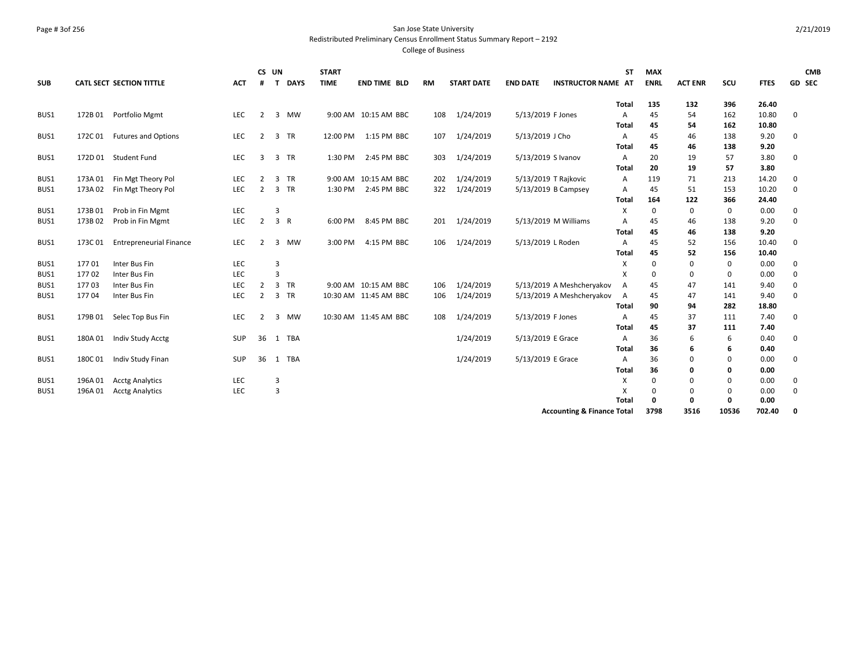## Page # 3of 256 San Jose State University Redistributed Preliminary Census Enrollment Status Summary Report – 2192

|            |         |                                |            | CS UN          |                |             | <b>START</b> |                       |           |                   |                      |                                       | ST           | <b>MAX</b>  |                |       |             | <b>CMB</b> |
|------------|---------|--------------------------------|------------|----------------|----------------|-------------|--------------|-----------------------|-----------|-------------------|----------------------|---------------------------------------|--------------|-------------|----------------|-------|-------------|------------|
| <b>SUB</b> |         | CATL SECT SECTION TITTLE       | <b>ACT</b> | #              | $\mathbf{T}$   | <b>DAYS</b> | <b>TIME</b>  | <b>END TIME BLD</b>   | <b>RM</b> | <b>START DATE</b> | <b>END DATE</b>      | <b>INSTRUCTOR NAME AT</b>             |              | <b>ENRL</b> | <b>ACT ENR</b> | SCU   | <b>FTES</b> | GD SEC     |
|            |         |                                |            |                |                |             |              |                       |           |                   |                      |                                       | <b>Total</b> | 135         | 132            | 396   | 26.40       |            |
| BUS1       | 172B01  | Portfolio Mgmt                 | <b>LEC</b> | 2              |                | 3 MW        |              | 9:00 AM 10:15 AM BBC  | 108       | 1/24/2019         | 5/13/2019 F Jones    |                                       | A            | 45          | 54             | 162   | 10.80       | 0          |
|            |         |                                |            |                |                |             |              |                       |           |                   |                      |                                       | Total        | 45          | 54             | 162   | 10.80       |            |
| BUS1       | 172C 01 | <b>Futures and Options</b>     | LEC        | 2              |                | 3 TR        |              | 12:00 PM 1:15 PM BBC  | 107       | 1/24/2019         | 5/13/2019 J Cho      |                                       | A            | 45          | 46             | 138   | 9.20        | 0          |
|            |         |                                |            |                |                |             |              |                       |           |                   |                      |                                       | Total        | 45          | 46             | 138   | 9.20        |            |
| BUS1       |         | 172D 01 Student Fund           | <b>LEC</b> | $\overline{3}$ |                | 3 TR        | 1:30 PM      | 2:45 PM BBC           | 303       | 1/24/2019         | 5/13/2019 S Ivanov   |                                       | A            | 20          | 19             | 57    | 3.80        | 0          |
|            |         |                                |            |                |                |             |              |                       |           |                   |                      |                                       | Total        | 20          | 19             | 57    | 3.80        |            |
| BUS1       | 173A 01 | Fin Mgt Theory Pol             | <b>LEC</b> | 2              |                | 3 TR        |              | 9:00 AM 10:15 AM BBC  | 202       | 1/24/2019         | 5/13/2019 T Rajkovic |                                       | Α            | 119         | 71             | 213   | 14.20       | 0          |
| BUS1       | 173A 02 | Fin Mgt Theory Pol             | <b>LEC</b> | 2              |                | 3 TR        | 1:30 PM      | 2:45 PM BBC           | 322       | 1/24/2019         | 5/13/2019 B Campsey  |                                       | Α            | 45          | 51             | 153   | 10.20       | 0          |
|            |         |                                |            |                |                |             |              |                       |           |                   |                      |                                       | Total        | 164         | 122            | 366   | 24.40       |            |
| BUS1       | 173B01  | Prob in Fin Mgmt               | <b>LEC</b> |                | 3              |             |              |                       |           |                   |                      |                                       | x            | 0           | 0              | 0     | 0.00        | 0          |
| BUS1       | 173B02  | Prob in Fin Mgmt               | <b>LEC</b> | $\overline{2}$ |                | 3 R         | 6:00 PM      | 8:45 PM BBC           | 201       | 1/24/2019         |                      | 5/13/2019 M Williams                  | Α            | 45          | 46             | 138   | 9.20        | 0          |
|            |         |                                |            |                |                |             |              |                       |           |                   |                      |                                       | Total        | 45          | 46             | 138   | 9.20        |            |
| BUS1       | 173C01  | <b>Entrepreneurial Finance</b> | <b>LEC</b> | 2              |                | 3 MW        | 3:00 PM      | 4:15 PM BBC           | 106       | 1/24/2019         | 5/13/2019 L Roden    |                                       | Α            | 45          | 52             | 156   | 10.40       | 0          |
|            |         |                                |            |                |                |             |              |                       |           |                   |                      |                                       | <b>Total</b> | 45          | 52             | 156   | 10.40       |            |
| BUS1       | 17701   | Inter Bus Fin                  | <b>LEC</b> |                | 3              |             |              |                       |           |                   |                      |                                       | X            | $\Omega$    | 0              | 0     | 0.00        | 0          |
| BUS1       | 17702   | Inter Bus Fin                  | <b>LEC</b> |                | 3              |             |              |                       |           |                   |                      |                                       | X            | $\Omega$    | $\mathbf 0$    | 0     | 0.00        | 0          |
| BUS1       | 17703   | Inter Bus Fin                  | <b>LEC</b> | 2              |                | 3 TR        |              | 9:00 AM 10:15 AM BBC  | 106       | 1/24/2019         |                      | 5/13/2019 A Meshcheryakov             | Α            | 45          | 47             | 141   | 9.40        | 0          |
| BUS1       | 17704   | Inter Bus Fin                  | LEC        | $\overline{2}$ |                | 3 TR        |              | 10:30 AM 11:45 AM BBC | 106       | 1/24/2019         |                      | 5/13/2019 A Meshcheryakov             | A            | 45          | 47             | 141   | 9.40        | 0          |
|            |         |                                |            |                |                |             |              |                       |           |                   |                      |                                       | Total        | 90          | 94             | 282   | 18.80       |            |
| BUS1       | 179B01  | Selec Top Bus Fin              | <b>LEC</b> | 2              |                | 3 MW        |              | 10:30 AM 11:45 AM BBC | 108       | 1/24/2019         | 5/13/2019 F Jones    |                                       | Α            | 45          | 37             | 111   | 7.40        | 0          |
|            |         |                                |            |                |                |             |              |                       |           |                   |                      |                                       | Total        | 45          | 37             | 111   | 7.40        |            |
| BUS1       |         | 180A 01 Indiv Study Acctg      | <b>SUP</b> | 36             |                | 1 TBA       |              |                       |           | 1/24/2019         | 5/13/2019 E Grace    |                                       | Α            | 36          | 6              | 6     | 0.40        | 0          |
|            |         |                                |            |                |                |             |              |                       |           |                   |                      |                                       | Total        | 36          | 6              | 6     | 0.40        |            |
| BUS1       | 180C01  | Indiv Study Finan              | <b>SUP</b> | 36             |                | 1 TBA       |              |                       |           | 1/24/2019         | 5/13/2019 E Grace    |                                       | Α            | 36          | $\mathbf 0$    | 0     | 0.00        | 0          |
|            |         |                                |            |                |                |             |              |                       |           |                   |                      |                                       | <b>Total</b> | 36          | 0              | 0     | 0.00        |            |
| BUS1       | 196A 01 | <b>Acctg Analytics</b>         | <b>LEC</b> |                | 3              |             |              |                       |           |                   |                      |                                       | Χ            | $\Omega$    | 0              | 0     | 0.00        | 0          |
| BUS1       | 196A01  | <b>Acctg Analytics</b>         | LEC        |                | $\overline{3}$ |             |              |                       |           |                   |                      |                                       | x            | $\Omega$    | 0              | 0     | 0.00        | 0          |
|            |         |                                |            |                |                |             |              |                       |           |                   |                      |                                       | Total        | 0           | $\mathbf{0}$   | 0     | 0.00        |            |
|            |         |                                |            |                |                |             |              |                       |           |                   |                      | <b>Accounting &amp; Finance Total</b> |              | 3798        | 3516           | 10536 | 702.40      | 0          |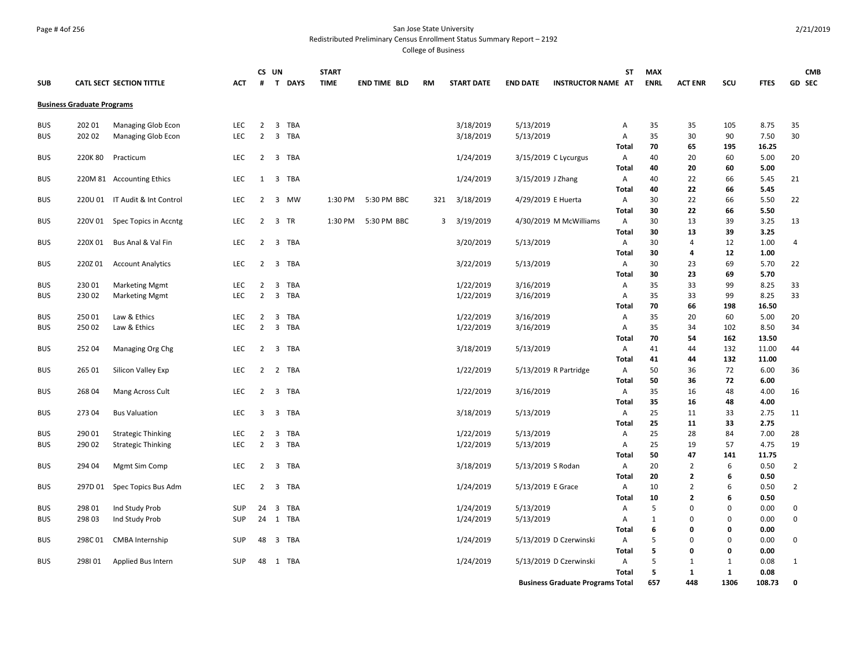#### Page # 4of 256 San Jose State University Redistributed Preliminary Census Enrollment Status Summary Report – 2192

|            |                                   |                                 |            |                | CS UN    |     | <b>START</b> |                     |           |                   |                    |                                         | ST           | <b>MAX</b>   |                                  |              |              | <b>CMB</b>     |
|------------|-----------------------------------|---------------------------------|------------|----------------|----------|-----|--------------|---------------------|-----------|-------------------|--------------------|-----------------------------------------|--------------|--------------|----------------------------------|--------------|--------------|----------------|
| <b>SUB</b> |                                   | <b>CATL SECT SECTION TITTLE</b> | <b>ACT</b> | #              | T DAYS   |     | <b>TIME</b>  | <b>END TIME BLD</b> | <b>RM</b> | <b>START DATE</b> | <b>END DATE</b>    | <b>INSTRUCTOR NAME AT</b>               |              | <b>ENRL</b>  | <b>ACT ENR</b>                   | SCU          | <b>FTES</b>  | GD SEC         |
|            | <b>Business Graduate Programs</b> |                                 |            |                |          |     |              |                     |           |                   |                    |                                         |              |              |                                  |              |              |                |
| <b>BUS</b> | 202 01                            | Managing Glob Econ              | <b>LEC</b> | $\overline{2}$ | 3 TBA    |     |              |                     |           | 3/18/2019         | 5/13/2019          |                                         | Α            | 35           | 35                               | 105          | 8.75         | 35             |
| <b>BUS</b> | 202 02                            | Managing Glob Econ              | <b>LEC</b> | 2              | 3 TBA    |     |              |                     |           | 3/18/2019         | 5/13/2019          |                                         | Α            | 35           | 30                               | 90           | 7.50         | 30             |
|            |                                   |                                 |            |                |          |     |              |                     |           |                   |                    |                                         | Total        | 70           | 65                               | 195          | 16.25        |                |
| <b>BUS</b> | 220K 80                           | Practicum                       | <b>LEC</b> | 2              | 3 TBA    |     |              |                     |           | 1/24/2019         |                    | 3/15/2019 C Lycurgus                    | Α            | 40           | 20                               | 60           | 5.00         | 20             |
|            |                                   |                                 |            |                |          |     |              |                     |           |                   |                    |                                         | Total        | 40           | 20                               | 60           | 5.00         |                |
| <b>BUS</b> |                                   | 220M 81 Accounting Ethics       | LEC        | 1              | 3 TBA    |     |              |                     |           | 1/24/2019         | 3/15/2019 J Zhang  |                                         | Α            | 40           | 22                               | 66           | 5.45         | 21             |
|            |                                   |                                 |            |                |          |     |              |                     |           |                   |                    |                                         | Total        | 40           | 22                               | 66           | 5.45         |                |
| <b>BUS</b> |                                   | 220U 01 IT Audit & Int Control  | <b>LEC</b> | 2              | 3 MW     |     | 1:30 PM      | 5:30 PM BBC         | 321       | 3/18/2019         | 4/29/2019 E Huerta |                                         | A            | 30           | 22                               | 66           | 5.50         | 22             |
|            |                                   |                                 |            |                |          |     |              |                     |           |                   |                    |                                         | Total        | 30           | 22                               | 66           | 5.50         |                |
| <b>BUS</b> |                                   | 220V 01 Spec Topics in Accntg   | LEC        | $\overline{2}$ | 3 TR     |     | 1:30 PM      | 5:30 PM BBC         | 3         | 3/19/2019         |                    | 4/30/2019 M McWilliams                  | Α            | 30           | 13                               | 39           | 3.25         | 13             |
|            |                                   |                                 |            |                |          |     |              |                     |           |                   |                    |                                         | Total        | 30           | 13                               | 39           | 3.25         |                |
| <b>BUS</b> | 220X 01                           | Bus Anal & Val Fin              | LEC        | $\overline{2}$ | 3 TBA    |     |              |                     |           | 3/20/2019         | 5/13/2019          |                                         | Α            | 30           | 4                                | 12           | 1.00         | $\overline{4}$ |
|            |                                   |                                 |            |                |          |     |              |                     |           |                   |                    |                                         | Total        | 30           | 4                                | 12           | 1.00         |                |
| <b>BUS</b> | 220Z01                            | <b>Account Analytics</b>        | LEC        | $2^{\circ}$    | 3 TBA    |     |              |                     |           | 3/22/2019         | 5/13/2019          |                                         | Α            | 30           | 23                               | 69           | 5.70         | 22             |
|            |                                   |                                 |            |                |          |     |              |                     |           |                   |                    |                                         | Total        | 30           | 23                               | 69           | 5.70         |                |
| <b>BUS</b> | 23001                             | <b>Marketing Mgmt</b>           | LEC        | 2              | 3 TBA    |     |              |                     |           | 1/22/2019         | 3/16/2019          |                                         | Α            | 35           | 33                               | 99           | 8.25         | 33             |
| <b>BUS</b> | 23002                             | <b>Marketing Mgmt</b>           | LEC        | 2              | 3 TBA    |     |              |                     |           | 1/22/2019         | 3/16/2019          |                                         | Α            | 35           | 33                               | 99           | 8.25         | 33             |
|            |                                   |                                 |            |                |          |     |              |                     |           |                   |                    |                                         | Total        | 70           | 66                               | 198          | 16.50        |                |
| <b>BUS</b> | 25001                             | Law & Ethics                    | LEC.       | 2              | 3        | TBA |              |                     |           | 1/22/2019         | 3/16/2019          |                                         | Α            | 35           | 20                               | 60           | 5.00         | 20             |
| <b>BUS</b> | 250 02                            | Law & Ethics                    | LEC        | $2^{\circ}$    | 3 TBA    |     |              |                     |           | 1/22/2019         | 3/16/2019          |                                         | Α            | 35           | 34                               | 102          | 8.50         | 34             |
|            |                                   |                                 |            |                |          |     |              |                     |           |                   |                    |                                         | Total        | 70           | 54                               | 162          | 13.50        |                |
| <b>BUS</b> | 252 04                            | Managing Org Chg                | LEC        |                | 2 3 TBA  |     |              |                     |           | 3/18/2019         | 5/13/2019          |                                         | Α            | 41           | 44                               | 132          | 11.00        | 44             |
|            |                                   |                                 |            |                |          |     |              |                     |           |                   |                    |                                         | Total        | 41           | 44                               | 132          | 11.00        |                |
| <b>BUS</b> | 265 01                            | Silicon Valley Exp              | LEC        |                | 2 2 TBA  |     |              |                     |           | 1/22/2019         |                    | 5/13/2019 R Partridge                   | Α            | 50           | 36                               | 72           | 6.00         | 36             |
|            |                                   |                                 |            |                |          |     |              |                     |           |                   |                    |                                         | Total        | 50           | 36                               | 72           | 6.00         |                |
| <b>BUS</b> | 268 04                            | Mang Across Cult                | LEC        | $\overline{2}$ | 3 TBA    |     |              |                     |           | 1/22/2019         | 3/16/2019          |                                         | Α            | 35           | 16                               | 48           | 4.00         | 16             |
|            |                                   |                                 |            |                |          |     |              |                     |           |                   |                    |                                         | <b>Total</b> | 35           | 16                               | 48           | 4.00         |                |
| <b>BUS</b> | 27304                             | <b>Bus Valuation</b>            | LEC        | 3              | 3 TBA    |     |              |                     |           | 3/18/2019         | 5/13/2019          |                                         | Α            | 25           | 11                               | 33           | 2.75         | 11             |
|            |                                   |                                 |            |                |          |     |              |                     |           |                   |                    |                                         | <b>Total</b> | 25           | 11                               | 33           | 2.75         |                |
| <b>BUS</b> | 290 01                            | <b>Strategic Thinking</b>       | LEC        | $\overline{2}$ | 3        | TBA |              |                     |           | 1/22/2019         | 5/13/2019          |                                         | Α            | 25           | 28                               | 84           | 7.00         | 28             |
| <b>BUS</b> | 290 02                            | <b>Strategic Thinking</b>       | LEC        | $\overline{2}$ | 3 TBA    |     |              |                     |           | 1/22/2019         | 5/13/2019          |                                         | Α            | 25           | 19                               | 57           | 4.75         | 19             |
|            |                                   |                                 |            |                |          |     |              |                     |           |                   |                    |                                         | Total        | 50           | 47                               | 141          | 11.75        |                |
| <b>BUS</b> | 294 04                            | Mgmt Sim Comp                   | LEC        |                | 2 3 TBA  |     |              |                     |           | 3/18/2019         | 5/13/2019 S Rodan  |                                         | Α            | 20           | $\overline{2}$                   | 6<br>6       | 0.50         | $\overline{2}$ |
|            |                                   |                                 |            |                |          |     |              |                     |           |                   |                    |                                         | Total        | 20<br>10     | $\overline{2}$<br>$\overline{2}$ | 6            | 0.50         | $\overline{2}$ |
| <b>BUS</b> | 297D 01                           | Spec Topics Bus Adm             | LEC        |                | 2 3 TBA  |     |              |                     |           | 1/24/2019         | 5/13/2019 E Grace  |                                         | Α<br>Total   | 10           | $\overline{2}$                   | 6            | 0.50<br>0.50 |                |
| <b>BUS</b> | 298 01                            | Ind Study Prob                  | <b>SUP</b> | 24             | 3 TBA    |     |              |                     |           | 1/24/2019         | 5/13/2019          |                                         | Α            | 5            | $\mathbf 0$                      | $\Omega$     | 0.00         | 0              |
| <b>BUS</b> | 298 03                            | Ind Study Prob                  | <b>SUP</b> |                | 24 1 TBA |     |              |                     |           | 1/24/2019         | 5/13/2019          |                                         | Α            | $\mathbf{1}$ | $\Omega$                         | 0            | 0.00         | $\mathbf 0$    |
|            |                                   |                                 |            |                |          |     |              |                     |           |                   |                    |                                         | Total        | 6            | $\mathbf{0}$                     | $\mathbf{0}$ | 0.00         |                |
| <b>BUS</b> | 298C01                            | CMBA Internship                 | <b>SUP</b> | 48             | 3 TBA    |     |              |                     |           | 1/24/2019         |                    | 5/13/2019 D Czerwinski                  | Α            | 5            | $\Omega$                         | 0            | 0.00         | $\mathbf 0$    |
|            |                                   |                                 |            |                |          |     |              |                     |           |                   |                    |                                         | Total        | 5            | 0                                | 0            | 0.00         |                |
| <b>BUS</b> | 298101                            | Applied Bus Intern              | SUP        | 48             | 1 TBA    |     |              |                     |           | 1/24/2019         |                    | 5/13/2019 D Czerwinski                  | Α            | 5            | 1                                | $\mathbf{1}$ | 0.08         | $\mathbf{1}$   |
|            |                                   |                                 |            |                |          |     |              |                     |           |                   |                    |                                         | Total        | 5            | $\mathbf{1}$                     | 1            | 0.08         |                |
|            |                                   |                                 |            |                |          |     |              |                     |           |                   |                    | <b>Business Graduate Programs Total</b> |              | 657          | 448                              | 1306         | 108.73       | $\mathbf 0$    |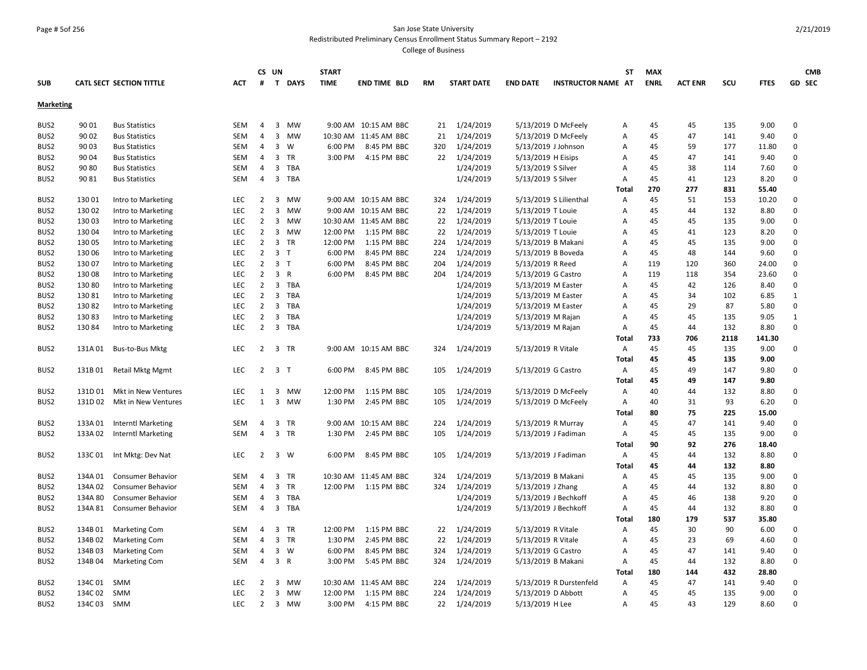## Page # 5of 256 San Jose State University Redistributed Preliminary Census Enrollment Status Summary Report – 2192

|                  |             |                                 |            |                | CS UN          |                | <b>START</b> |                       |           |                   |                    |                           | <b>ST</b>    | <b>MAX</b>  |                |      |             | <b>CMB</b>   |
|------------------|-------------|---------------------------------|------------|----------------|----------------|----------------|--------------|-----------------------|-----------|-------------------|--------------------|---------------------------|--------------|-------------|----------------|------|-------------|--------------|
| <b>SUB</b>       |             | <b>CATL SECT SECTION TITTLE</b> | <b>ACT</b> | #              |                | T DAYS         | <b>TIME</b>  | <b>END TIME BLD</b>   | <b>RM</b> | <b>START DATE</b> | <b>END DATE</b>    | <b>INSTRUCTOR NAME AT</b> |              | <b>ENRL</b> | <b>ACT ENR</b> | scu  | <b>FTES</b> | GD SEC       |
| <b>Marketing</b> |             |                                 |            |                |                |                |              |                       |           |                   |                    |                           |              |             |                |      |             |              |
| BUS2             | 90 01       | <b>Bus Statistics</b>           | SEM        | 4              |                | 3 MW           |              | 9:00 AM 10:15 AM BBC  |           | 21 1/24/2019      |                    | 5/13/2019 D McFeely       | Α            | 45          | 45             | 135  | 9.00        | $\mathbf 0$  |
| BUS2             | 90 02       | <b>Bus Statistics</b>           | <b>SEM</b> | $\overline{4}$ |                | 3 MW           |              | 10:30 AM 11:45 AM BBC | 21        | 1/24/2019         |                    | 5/13/2019 D McFeely       | A            | 45          | 47             | 141  | 9.40        | $\mathbf 0$  |
| BUS2             | 90 03       | <b>Bus Statistics</b>           | <b>SEM</b> | 4              |                | $3 \quad W$    | 6:00 PM      | 8:45 PM BBC           | 320       | 1/24/2019         |                    | 5/13/2019 J Johnson       | А            | 45          | 59             | 177  | 11.80       | $\mathsf 0$  |
| BUS2             | 90 04       | <b>Bus Statistics</b>           | <b>SEM</b> | 4              |                | 3 TR           | 3:00 PM      | 4:15 PM BBC           |           | 22 1/24/2019      | 5/13/2019 H Eisips |                           | Α            | 45          | 47             | 141  | 9.40        | $\Omega$     |
| BUS2             | 90 80       | <b>Bus Statistics</b>           | <b>SEM</b> | 4              |                | 3 TBA          |              |                       |           | 1/24/2019         | 5/13/2019 S Silver |                           | Α            | 45          | 38             | 114  | 7.60        | $\Omega$     |
| BUS2             | 90 81       | <b>Bus Statistics</b>           | SEM        | 4              |                | 3 TBA          |              |                       |           | 1/24/2019         | 5/13/2019 S Silver |                           | Α            | 45          | 41             | 123  | 8.20        | 0            |
|                  |             |                                 |            |                |                |                |              |                       |           |                   |                    |                           | <b>Total</b> | 270         | 277            | 831  | 55.40       |              |
| BUS2             | 13001       | Intro to Marketing              | LEC        | $\overline{2}$ |                | 3 MW           |              | 9:00 AM 10:15 AM BBC  | 324       | 1/24/2019         |                    | 5/13/2019 S Lilienthal    | A            | 45          | 51             | 153  | 10.20       | $\mathbf 0$  |
| BUS2             | 130 02      | Intro to Marketing              | <b>LEC</b> | $\overline{2}$ | $\overline{3}$ | <b>MW</b>      |              | 9:00 AM 10:15 AM BBC  | 22        | 1/24/2019         | 5/13/2019 T Louie  |                           | A            | 45          | 44             | 132  | 8.80        | 0            |
| BUS <sub>2</sub> | 130 03      | Intro to Marketing              | LEC        | $\overline{2}$ |                | 3 MW           |              | 10:30 AM 11:45 AM BBC |           | 22 1/24/2019      | 5/13/2019 T Louie  |                           | А            | 45          | 45             | 135  | 9.00        | 0            |
| BUS <sub>2</sub> | 13004       | Intro to Marketing              | <b>LEC</b> | $\overline{2}$ | 3              | <b>MW</b>      | 12:00 PM     | 1:15 PM BBC           | 22        | 1/24/2019         | 5/13/2019 T Louie  |                           | A            | 45          | 41             | 123  | 8.20        | $\Omega$     |
| BUS <sub>2</sub> | 130 05      | Intro to Marketing              | <b>LEC</b> | $\overline{2}$ |                | 3 TR           | 12:00 PM     | 1:15 PM BBC           | 224       | 1/24/2019         |                    | 5/13/2019 B Makani        | А            | 45          | 45             | 135  | 9.00        | $\Omega$     |
| BUS2             | 130 06      | Intro to Marketing              | LEC        | $\overline{2}$ | $\overline{3}$ | T              | 6:00 PM      | 8:45 PM BBC           | 224       | 1/24/2019         |                    | 5/13/2019 B Boveda        | A            | 45          | 48             | 144  | 9.60        | $\mathbf 0$  |
| BUS2             | 13007       | Intro to Marketing              | <b>LEC</b> | $\overline{2}$ | 3 <sub>T</sub> |                | 6:00 PM      | 8:45 PM BBC           | 204       | 1/24/2019         | 5/13/2019 R Reed   |                           | A            | 119         | 120            | 360  | 24.00       | $\mathbf 0$  |
| BUS2             | 130 08      | Intro to Marketing              | LEC        | $\overline{2}$ |                | 3 R            | 6:00 PM      | 8:45 PM BBC           | 204       | 1/24/2019         |                    | 5/13/2019 G Castro        | Α            | 119         | 118            | 354  | 23.60       | 0            |
| BUS2             | 13080       | Intro to Marketing              | <b>LEC</b> | $\overline{2}$ |                | 3 TBA          |              |                       |           | 1/24/2019         |                    | 5/13/2019 M Easter        | A            | 45          | 42             | 126  | 8.40        | 0            |
| BUS2             | 130 81      | Intro to Marketing              | LEC        | $\overline{2}$ |                | 3 TBA          |              |                       |           | 1/24/2019         |                    | 5/13/2019 M Easter        | Α            | 45          | 34             | 102  | 6.85        | $\mathbf{1}$ |
| BUS2             | 13082       | Intro to Marketing              | <b>LEC</b> | $\overline{2}$ |                | 3 TBA          |              |                       |           | 1/24/2019         |                    | 5/13/2019 M Easter        | A            | 45          | 29             | 87   | 5.80        | $\mathsf 0$  |
| BUS2             | 13083       | Intro to Marketing              | LEC        | $\overline{2}$ |                | 3 TBA          |              |                       |           | 1/24/2019         |                    | 5/13/2019 M Rajan         | Α            | 45          | 45             | 135  | 9.05        | $\mathbf{1}$ |
| BUS2             | 13084       | Intro to Marketing              | <b>LEC</b> | $\overline{2}$ |                | 3 TBA          |              |                       |           | 1/24/2019         |                    | 5/13/2019 M Rajan         | Α            | 45          | 44             | 132  | 8.80        | $\mathbf 0$  |
|                  |             |                                 |            |                |                |                |              |                       |           |                   |                    |                           | Total        | 733         | 706            | 2118 | 141.30      |              |
| BUS2             | 131A01      | Bus-to-Bus Mktg                 | <b>LEC</b> | $\overline{2}$ |                | 3 TR           |              | 9:00 AM 10:15 AM BBC  | 324       | 1/24/2019         | 5/13/2019 R Vitale |                           | Α            | 45          | 45             | 135  | 9.00        | $\mathbf 0$  |
|                  |             |                                 |            |                |                |                |              |                       |           |                   |                    |                           | Total        | 45          | 45             | 135  | 9.00        |              |
| BUS <sub>2</sub> | 131B01      | <b>Retail Mktg Mgmt</b>         | LEC        | $\overline{2}$ |                | 3 <sub>T</sub> | 6:00 PM      | 8:45 PM BBC           | 105       | 1/24/2019         |                    | 5/13/2019 G Castro        | Α            | 45          | 49             | 147  | 9.80        | 0            |
|                  |             |                                 |            |                |                |                |              |                       |           |                   |                    |                           | Total        | 45          | 49             | 147  | 9.80        |              |
| BUS2             | 131D01      | Mkt in New Ventures             | LEC        | 1              | 3              | <b>MW</b>      | 12:00 PM     | 1:15 PM BBC           | 105       | 1/24/2019         |                    | 5/13/2019 D McFeely       | Α            | 40          | 44             | 132  | 8.80        | 0            |
| BUS <sub>2</sub> | 131D 02     | Mkt in New Ventures             | <b>LEC</b> | $\mathbf{1}$   | 3              | <b>MW</b>      | 1:30 PM      | 2:45 PM BBC           | 105       | 1/24/2019         |                    | 5/13/2019 D McFeely       | Α            | 40          | 31             | 93   | 6.20        | 0            |
|                  |             |                                 |            |                |                |                |              |                       |           |                   |                    |                           | <b>Total</b> | 80          | 75             | 225  | 15.00       |              |
| BUS2             | 133A 01     | <b>Interntl Marketing</b>       | <b>SEM</b> | $\overline{4}$ |                | 3 TR           |              | 9:00 AM 10:15 AM BBC  | 224       | 1/24/2019         |                    | 5/13/2019 R Murray        | Α            | 45          | 47             | 141  | 9.40        | 0            |
| BUS2             | 133A 02     | Interntl Marketing              | <b>SEM</b> | 4              |                | 3 TR           | 1:30 PM      | 2:45 PM BBC           | 105       | 1/24/2019         |                    | 5/13/2019 J Fadiman       | Α            | 45          | 45             | 135  | 9.00        | $\mathbf 0$  |
|                  |             |                                 |            |                |                |                |              |                       |           |                   |                    |                           | <b>Total</b> | 90          | 92             | 276  | 18.40       |              |
| BUS2             | 133C 01     | Int Mktg: Dev Nat               | <b>LEC</b> | $\overline{2}$ |                | 3 W            | 6:00 PM      | 8:45 PM BBC           | 105       | 1/24/2019         |                    | 5/13/2019 J Fadiman       | Α            | 45          | 44             | 132  | 8.80        | 0            |
|                  |             |                                 |            |                |                |                |              |                       |           |                   |                    |                           | Total        | 45          | 44             | 132  | 8.80        |              |
| BUS2             | 134A 01     | <b>Consumer Behavior</b>        | SEM        | 4              |                | 3 TR           |              | 10:30 AM 11:45 AM BBC | 324       | 1/24/2019         |                    | 5/13/2019 B Makani        | Α            | 45          | 45             | 135  | 9.00        | 0            |
| BUS2             | 134A02      | Consumer Behavior               | <b>SEM</b> | $\overline{4}$ |                | 3 TR           |              | 12:00 PM 1:15 PM BBC  | 324       | 1/24/2019         | 5/13/2019 J Zhang  |                           | A            | 45          | 44             | 132  | 8.80        | $\mathbf 0$  |
| BUS2             | 134A 80     | <b>Consumer Behavior</b>        | <b>SEM</b> | $\overline{4}$ |                | 3 TBA          |              |                       |           | 1/24/2019         |                    | 5/13/2019 J Bechkoff      | Α            | 45          | 46             | 138  | 9.20        | $\Omega$     |
| BUS2             | 134A 81     | <b>Consumer Behavior</b>        | <b>SEM</b> | $\overline{4}$ |                | 3 TBA          |              |                       |           | 1/24/2019         |                    | 5/13/2019 J Bechkoff      | Α            | 45          | 44             | 132  | 8.80        | 0            |
|                  |             |                                 |            |                |                |                |              |                       |           |                   |                    |                           | <b>Total</b> | 180         | 179            | 537  | 35.80       |              |
| BUS2             | 134B01      | <b>Marketing Com</b>            | SEM        | 4              | 3              | TR             | 12:00 PM     | 1:15 PM BBC           | 22        | 1/24/2019         | 5/13/2019 R Vitale |                           | Α            | 45          | 30             | 90   | 6.00        | $\mathsf 0$  |
| BUS2             | 134B02      | <b>Marketing Com</b>            | <b>SEM</b> | $\overline{4}$ |                | 3 TR           | 1:30 PM      | 2:45 PM BBC           | 22        | 1/24/2019         | 5/13/2019 R Vitale |                           | A            | 45          | 23             | 69   | 4.60        | 0            |
| BUS <sub>2</sub> | 134B03      | <b>Marketing Com</b>            | SEM        | 4              |                | $3 \quad W$    | 6:00 PM      | 8:45 PM BBC           | 324       | 1/24/2019         |                    | 5/13/2019 G Castro        | Α            | 45          | 47             | 141  | 9.40        | $\mathsf 0$  |
| BUS2             | 134B 04     | <b>Marketing Com</b>            | <b>SEM</b> | $\overline{4}$ |                | 3 R            | 3:00 PM      | 5:45 PM BBC           | 324       | 1/24/2019         |                    | 5/13/2019 B Makani        | Α            | 45          | 44             | 132  | 8.80        | $\Omega$     |
|                  |             |                                 |            |                |                |                |              |                       |           |                   |                    |                           | <b>Total</b> | 180         | 144            | 432  | 28.80       |              |
| BUS <sub>2</sub> | 134C01      | SMM                             | LEC        | 2              |                | 3 MW           |              | 10:30 AM 11:45 AM BBC | 224       | 1/24/2019         |                    | 5/13/2019 R Durstenfeld   | Α            | 45          | 47             | 141  | 9.40        | $\Omega$     |
| BUS2             | 134C 02     | SMM                             | <b>LEC</b> | $\overline{2}$ |                | 3 MW           | 12:00 PM     | 1:15 PM BBC           | 224       | 1/24/2019         |                    | 5/13/2019 D Abbott        | A            | 45          | 45             | 135  | 9.00        | $\Omega$     |
| BUS2             | 134C 03 SMM |                                 | LEC        | $\overline{2}$ |                | 3 MW           | 3:00 PM      | 4:15 PM BBC           | 22        | 1/24/2019         | 5/13/2019 H Lee    |                           | Α            | 45          | 43             | 129  | 8.60        | $\mathbf 0$  |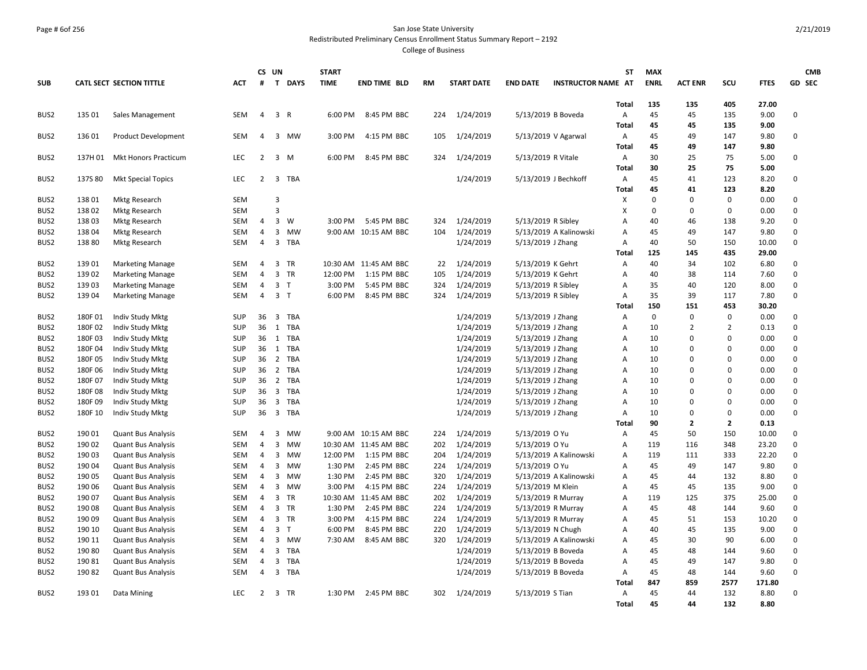## Page # 6of 256 San Jose State University Redistributed Preliminary Census Enrollment Status Summary Report – 2192

|                  |         |                                 |            |                | CS UN          |             | <b>START</b> |                       |           |                   |                    |                           | <b>ST</b>    | <b>MAX</b>  |                |                |             | <b>CMB</b>  |
|------------------|---------|---------------------------------|------------|----------------|----------------|-------------|--------------|-----------------------|-----------|-------------------|--------------------|---------------------------|--------------|-------------|----------------|----------------|-------------|-------------|
| <b>SUB</b>       |         | <b>CATL SECT SECTION TITTLE</b> | <b>ACT</b> | #              |                | T DAYS      | <b>TIME</b>  | <b>END TIME BLD</b>   | <b>RM</b> | <b>START DATE</b> | <b>END DATE</b>    | <b>INSTRUCTOR NAME AT</b> |              | <b>ENRL</b> | <b>ACT ENR</b> | scu            | <b>FTES</b> | GD SEC      |
|                  |         |                                 |            |                |                |             |              |                       |           |                   |                    |                           | <b>Total</b> | 135         | 135            | 405            | 27.00       |             |
| BUS2             | 135 01  | Sales Management                | <b>SEM</b> | $\overline{4}$ | 3 R            |             | 6:00 PM      | 8:45 PM BBC           | 224       | 1/24/2019         |                    | 5/13/2019 B Boveda        | Α            | 45          | 45             | 135            | 9.00        | 0           |
|                  |         |                                 |            |                |                |             |              |                       |           |                   |                    |                           | <b>Total</b> | 45          | 45             | 135            | 9.00        |             |
| BUS2             | 136 01  | <b>Product Development</b>      | SEM        | $\overline{4}$ |                | 3 MW        | 3:00 PM      | 4:15 PM BBC           | 105       | 1/24/2019         |                    | 5/13/2019 V Agarwal       | Α            | 45          | 49             | 147            | 9.80        | 0           |
|                  |         |                                 |            |                |                |             |              |                       |           |                   |                    |                           | <b>Total</b> | 45          | 49             | 147            | 9.80        |             |
| BUS2             | 137H 01 | <b>Mkt Honors Practicum</b>     | LEC        | $\overline{2}$ |                | $3 \, M$    | 6:00 PM      | 8:45 PM BBC           | 324       | 1/24/2019         | 5/13/2019 R Vitale |                           | Α            | 30          | 25             | 75             | 5.00        | 0           |
|                  |         |                                 |            |                |                |             |              |                       |           |                   |                    |                           | <b>Total</b> | 30          | 25             | 75             | 5.00        |             |
| BUS2             | 137S 80 | <b>Mkt Special Topics</b>       | <b>LEC</b> | 2              |                | 3 TBA       |              |                       |           | 1/24/2019         |                    | 5/13/2019 J Bechkoff      | Α            | 45          | 41             | 123            | 8.20        | 0           |
|                  |         |                                 |            |                |                |             |              |                       |           |                   |                    |                           | <b>Total</b> | 45          | 41             | 123            | 8.20        |             |
| BUS <sub>2</sub> | 138 01  | Mktg Research                   | SEM        |                | $\overline{3}$ |             |              |                       |           |                   |                    |                           | х            | $\Omega$    | $\mathbf 0$    | 0              | 0.00        | 0           |
| BUS2             | 13802   | <b>Mktg Research</b>            | <b>SEM</b> |                | $\overline{3}$ |             |              |                       |           |                   |                    |                           | X            | $\Omega$    | $\mathbf 0$    | 0              | 0.00        | 0           |
| BUS2             | 13803   | Mktg Research                   | SEM        | $\overline{4}$ |                | $3 \quad W$ | 3:00 PM      | 5:45 PM BBC           | 324       | 1/24/2019         | 5/13/2019 R Sibley |                           | A            | 40          | 46             | 138            | 9.20        | 0           |
| BUS2             | 13804   | <b>Mktg Research</b>            | <b>SEM</b> | $\overline{4}$ |                | 3 MW        |              | 9:00 AM 10:15 AM BBC  | 104       | 1/24/2019         |                    | 5/13/2019 A Kalinowski    | Α            | 45          | 49             | 147            | 9.80        | 0           |
| BUS2             | 138 80  | <b>Mktg Research</b>            | SEM        | $\overline{4}$ |                | 3 TBA       |              |                       |           | 1/24/2019         | 5/13/2019 J Zhang  |                           | A            | 40          | 50             | 150            | 10.00       | 0           |
|                  |         |                                 |            |                |                |             |              |                       |           |                   |                    |                           | <b>Total</b> | 125         | 145            | 435            | 29.00       |             |
| BUS2             | 13901   | <b>Marketing Manage</b>         | SEM        | $\overline{4}$ |                | 3 TR        |              | 10:30 AM 11:45 AM BBC | 22        | 1/24/2019         | 5/13/2019 K Gehrt  |                           | Α            | 40          | 34             | 102            | 6.80        | 0           |
| BUS2             | 139 02  | <b>Marketing Manage</b>         | <b>SEM</b> | 4              | $\overline{3}$ | <b>TR</b>   | 12:00 PM     | 1:15 PM BBC           | 105       | 1/24/2019         | 5/13/2019 K Gehrt  |                           | A            | 40          | 38             | 114            | 7.60        | 0           |
| BUS2             | 13903   | <b>Marketing Manage</b>         | SEM        | $\overline{4}$ | 3 <sub>1</sub> |             | 3:00 PM      | 5:45 PM BBC           | 324       | 1/24/2019         | 5/13/2019 R Sibley |                           | A            | 35          | 40             | 120            | 8.00        | 0           |
| BUS2             | 139 04  | <b>Marketing Manage</b>         | SEM        | $\overline{4}$ | 3 <sub>1</sub> |             | 6:00 PM      | 8:45 PM BBC           | 324       | 1/24/2019         | 5/13/2019 R Sibley |                           | Α            | 35          | 39             | 117            | 7.80        | 0           |
|                  |         |                                 |            |                |                |             |              |                       |           |                   |                    |                           | Total        | 150         | 151            | 453            | 30.20       |             |
| BUS2             | 180F01  | Indiv Study Mktg                | <b>SUP</b> | 36             |                | 3 TBA       |              |                       |           | 1/24/2019         | 5/13/2019 J Zhang  |                           | A            | 0           | $\mathbf 0$    | 0              | 0.00        | 0           |
| BUS2             | 180F02  | Indiv Study Mktg                | <b>SUP</b> | 36             |                | 1 TBA       |              |                       |           | 1/24/2019         | 5/13/2019 J Zhang  |                           | A            | 10          | $\overline{2}$ | $\overline{2}$ | 0.13        | 0           |
| BUS <sub>2</sub> | 180F03  | Indiv Study Mktg                | <b>SUP</b> | 36             |                | 1 TBA       |              |                       |           | 1/24/2019         | 5/13/2019 J Zhang  |                           | A            | 10          | $\mathbf 0$    | 0              | 0.00        | 0           |
| BUS2             | 180F 04 | Indiv Study Mktg                | <b>SUP</b> | 36             |                | 1 TBA       |              |                       |           | 1/24/2019         | 5/13/2019 J Zhang  |                           | A            | 10          | 0              | 0              | 0.00        | 0           |
| BUS2             | 180F 05 | Indiv Study Mktg                | <b>SUP</b> | 36             |                | 2 TBA       |              |                       |           | 1/24/2019         | 5/13/2019 J Zhang  |                           | A            | 10          | $\Omega$       | 0              | 0.00        | 0           |
| BUS2             | 180F06  | Indiv Study Mktg                | <b>SUP</b> | 36             |                | 2 TBA       |              |                       |           | 1/24/2019         | 5/13/2019 J Zhang  |                           | A            | 10          | $\Omega$       | 0              | 0.00        | 0           |
| BUS2             | 180F07  | Indiv Study Mktg                | SUP        |                |                | 36 2 TBA    |              |                       |           | 1/24/2019         | 5/13/2019 J Zhang  |                           | A            | 10          | $\Omega$       | 0              | 0.00        | 0           |
| BUS2             | 180F08  | Indiv Study Mktg                | <b>SUP</b> | 36             |                | 3 TBA       |              |                       |           | 1/24/2019         | 5/13/2019 J Zhang  |                           | A            | 10          | $\Omega$       | <sup>0</sup>   | 0.00        | 0           |
| BUS2             | 180F09  | Indiv Study Mktg                | <b>SUP</b> | 36             |                | 3 TBA       |              |                       |           | 1/24/2019         | 5/13/2019 J Zhang  |                           | Α            | 10          | $\mathbf 0$    | 0              | 0.00        | 0           |
| BUS <sub>2</sub> | 180F 10 | Indiv Study Mktg                | <b>SUP</b> | 36             |                | 3 TBA       |              |                       |           | 1/24/2019         | 5/13/2019 J Zhang  |                           | Α            | 10          | $\mathbf 0$    | 0              | 0.00        | 0           |
|                  |         |                                 |            |                |                |             |              |                       |           |                   |                    |                           | Total        | 90          | $\overline{2}$ | $\mathbf{2}$   | 0.13        |             |
| BUS2             | 190 01  | <b>Quant Bus Analysis</b>       | <b>SEM</b> | 4              | $\overline{3}$ | <b>MW</b>   |              | 9:00 AM 10:15 AM BBC  | 224       | 1/24/2019         | 5/13/2019 O Yu     |                           | Α            | 45          | 50             | 150            | 10.00       | 0           |
| BUS2             | 190 02  | <b>Quant Bus Analysis</b>       | SEM        | 4              | $\overline{3}$ | MW          |              | 10:30 AM 11:45 AM BBC | 202       | 1/24/2019         | 5/13/2019 O Yu     |                           | A            | 119         | 116            | 348            | 23.20       | 0           |
| BUS2             | 190 03  | Quant Bus Analysis              | SEM        | $\overline{4}$ |                | 3 MW        | 12:00 PM     | 1:15 PM BBC           | 204       | 1/24/2019         |                    | 5/13/2019 A Kalinowski    | A            | 119         | 111            | 333            | 22.20       | 0           |
| BUS2             | 190 04  | <b>Quant Bus Analysis</b>       | SEM        | 4              |                | 3 MW        | 1:30 PM      | 2:45 PM BBC           | 224       | 1/24/2019         | 5/13/2019 O Yu     |                           | A            | 45          | 49             | 147            | 9.80        | 0           |
| BUS2             | 190 05  | <b>Quant Bus Analysis</b>       | <b>SEM</b> | $\overline{4}$ |                | 3 MW        | 1:30 PM      | 2:45 PM BBC           | 320       | 1/24/2019         |                    | 5/13/2019 A Kalinowski    | A            | 45          | 44             | 132            | 8.80        | $\mathbf 0$ |
| BUS2             | 190 06  | <b>Quant Bus Analysis</b>       | <b>SEM</b> | $\overline{4}$ |                | 3 MW        | 3:00 PM      | 4:15 PM BBC           | 224       | 1/24/2019         | 5/13/2019 M Klein  |                           | A            | 45          | 45             | 135            | 9.00        | 0           |
| BUS <sub>2</sub> | 190 07  | <b>Quant Bus Analysis</b>       | <b>SEM</b> | $\overline{4}$ |                | 3 TR        |              | 10:30 AM 11:45 AM BBC | 202       | 1/24/2019         |                    | 5/13/2019 R Murray        | A            | 119         | 125            | 375            | 25.00       | 0           |
| BUS2             | 190 08  | <b>Quant Bus Analysis</b>       | SEM        | $\overline{4}$ |                | 3 TR        | 1:30 PM      | 2:45 PM BBC           | 224       | 1/24/2019         |                    | 5/13/2019 R Murray        | A            | 45          | 48             | 144            | 9.60        | 0           |
| BUS2             | 190 09  | <b>Quant Bus Analysis</b>       | <b>SEM</b> | $\overline{4}$ |                | 3 TR        | 3:00 PM      | 4:15 PM BBC           | 224       | 1/24/2019         |                    | 5/13/2019 R Murray        | A            | 45          | 51             | 153            | 10.20       | 0           |
| BUS2             | 190 10  | <b>Quant Bus Analysis</b>       | SEM        | $\overline{4}$ | 3 <sub>T</sub> |             | 6:00 PM      | 8:45 PM BBC           | 220       | 1/24/2019         |                    | 5/13/2019 N Chugh         | A            | 40          | 45             | 135            | 9.00        | 0           |
| BUS2             | 190 11  | <b>Quant Bus Analysis</b>       | <b>SEM</b> | $\overline{4}$ |                | 3 MW        | 7:30 AM      | 8:45 AM BBC           | 320       | 1/24/2019         |                    | 5/13/2019 A Kalinowski    | A            | 45          | 30             | 90             | 6.00        | $\mathbf 0$ |
| BUS2             | 190 80  | <b>Quant Bus Analysis</b>       | <b>SEM</b> | $\overline{4}$ | 3              | TBA         |              |                       |           | 1/24/2019         |                    | 5/13/2019 B Boveda        | A            | 45          | 48             | 144            | 9.60        | $\mathbf 0$ |
| BUS2             | 190 81  | <b>Quant Bus Analysis</b>       | <b>SEM</b> | $\overline{4}$ |                | 3 TBA       |              |                       |           | 1/24/2019         |                    | 5/13/2019 B Boveda        | A            | 45          | 49             | 147            | 9.80        | 0           |
| BUS2             | 19082   | <b>Quant Bus Analysis</b>       | SEM        | $\overline{4}$ | $\overline{3}$ | TBA         |              |                       |           | 1/24/2019         |                    | 5/13/2019 B Boveda        | A            | 45          | 48             | 144            | 9.60        | 0           |
|                  |         |                                 |            |                |                |             |              |                       |           |                   |                    |                           | Total        | 847         | 859            | 2577           | 171.80      |             |
| BUS2             | 193 01  | Data Mining                     | LEC        | $\overline{2}$ |                | 3 TR        | 1:30 PM      | 2:45 PM BBC           |           | 302 1/24/2019     | 5/13/2019 S Tian   |                           | Α            | 45          | 44             | 132            | 8.80        | 0           |
|                  |         |                                 |            |                |                |             |              |                       |           |                   |                    |                           | <b>Total</b> | 45          | 44             | 132            | 8.80        |             |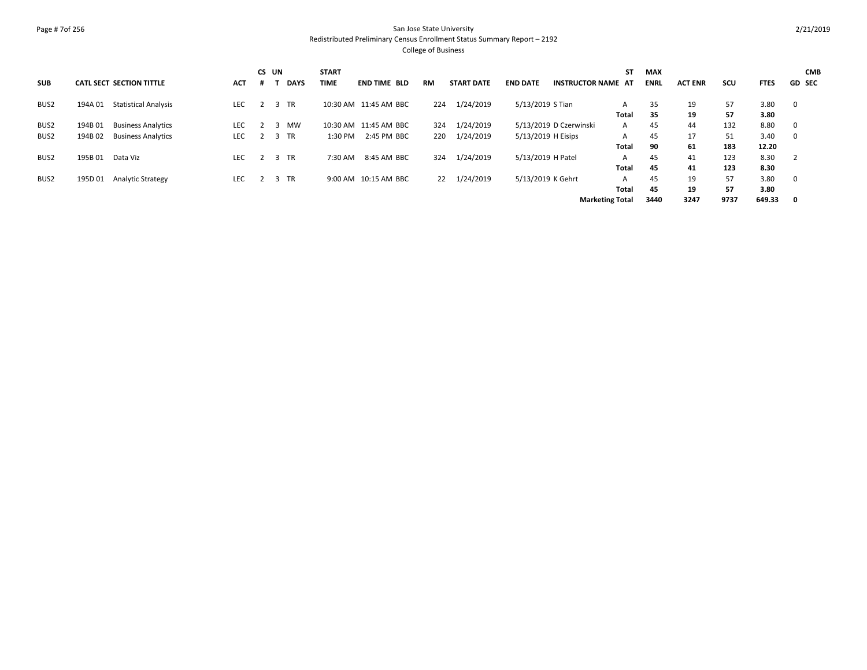### Page # 7of 256 San Jose State University Redistributed Preliminary Census Enrollment Status Summary Report – 2192 College of Business

**SUB CATL SECT SECTION TITTLE ACT CS UN # T DAYS START TIME END TIME BLD RM START DATE END DATE INSTRUCTOR NAME AT ST MAX ENRL ACT ENR SCU FTES GD CMB SEC** BUS2 194A 01 Statistical Analysis LEC 2 3 TR 10:30 AM 11:45 AM BBC 224 1/24/2019 5/13/2019 S Tian A 35 19 57 3.80 0 **Total 35 19 57 3.80** BUS2 194B 01 Business Analytics LEC 2 3 MW 10:30 AM 11:45 AM BBC 324 1/24/2019 5/13/2019 D Czerwinski A 45 44 132 8.80 0 BUS2 194B 02 Business Analytics LEC 2 3 TR 1:30 PM 2:45 PM BBC 220 1/24/2019 5/13/2019 H Eisips A 45 17 51 3.40 0 **Total 90 61 183 12.20** BUS2 195B 01 Data Viz LEC 2 3 TR 7:30 AM 8:45 AM BBC 324 1/24/2019 5/13/2019 H Patel A 45 41 123 8.30 2 **Total 45 41 123 8.30** BUS2 195D 01 Analytic Strategy LEC 2 3 TR 9:00 AM 10:15 AM BBC 22 1/24/2019 5/13/2019 K Gehrt A 45 19 57 3.80 0 **45 19 57 3.80 Marketing Total 3440 3247 9737 649.33 0 Total**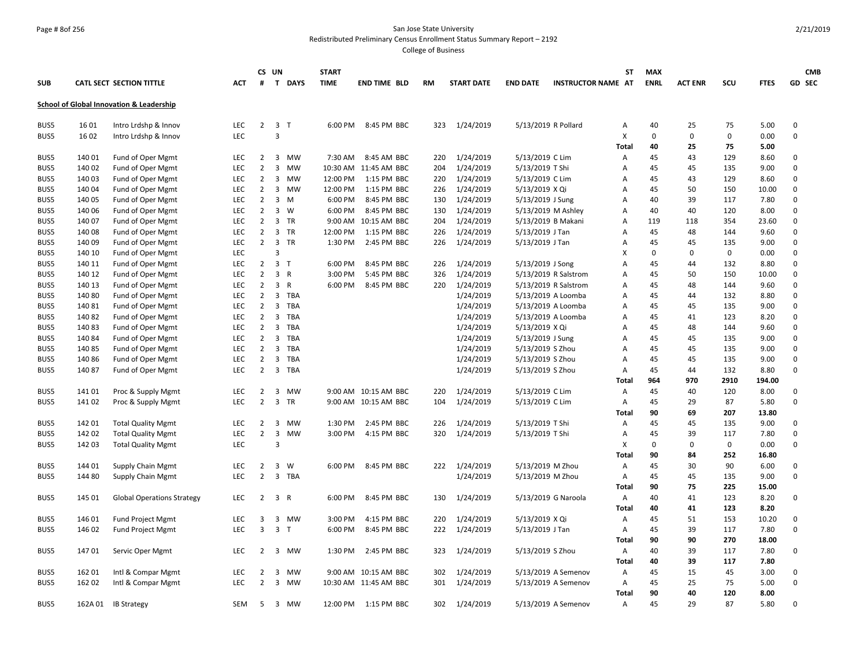## Page # 8of 256 San Jose State University Redistributed Preliminary Census Enrollment Status Summary Report – 2192

|            |        |                                                     |                   |                                  | CS UN                   |          | <b>START</b> |                       |           |                   |                    |                           | ST             | <b>MAX</b>  |                |            |                | <b>CMB</b>   |
|------------|--------|-----------------------------------------------------|-------------------|----------------------------------|-------------------------|----------|--------------|-----------------------|-----------|-------------------|--------------------|---------------------------|----------------|-------------|----------------|------------|----------------|--------------|
| <b>SUB</b> |        | <b>CATL SECT SECTION TITTLE</b>                     | ACT               | #                                |                         | T DAYS   | <b>TIME</b>  | <b>END TIME BLD</b>   | <b>RM</b> | <b>START DATE</b> | <b>END DATE</b>    | <b>INSTRUCTOR NAME AT</b> |                | <b>ENRL</b> | <b>ACT ENR</b> | SCU        | <b>FTES</b>    | GD SEC       |
|            |        | <b>School of Global Innovation &amp; Leadership</b> |                   |                                  |                         |          |              |                       |           |                   |                    |                           |                |             |                |            |                |              |
| BUS5       | 16 01  | Intro Lrdshp & Innov                                | <b>LEC</b>        | $2^{\circ}$                      | 3 <sub>1</sub>          |          | 6:00 PM      | 8:45 PM BBC           |           | 323 1/24/2019     |                    | 5/13/2019 R Pollard       | A              | 40          | 25             | 75         | 5.00           | 0            |
| BUS5       | 16 02  | Intro Lrdshp & Innov                                | LEC               |                                  | $\overline{3}$          |          |              |                       |           |                   |                    |                           | X              | $\Omega$    | $\mathbf 0$    | 0          | 0.00           | $\mathbf 0$  |
|            |        |                                                     |                   |                                  |                         |          |              |                       |           |                   |                    |                           | <b>Total</b>   | 40          | 25             | 75         | 5.00           |              |
| BUS5       | 140 01 | Fund of Oper Mgmt                                   | <b>LEC</b>        | $\overline{2}$                   |                         | 3 MW     | 7:30 AM      | 8:45 AM BBC           | 220       | 1/24/2019         | 5/13/2019 C Lim    |                           | Α              | 45          | 43             | 129        | 8.60           | 0            |
| BUS5       | 140 02 | Fund of Oper Mgmt                                   | <b>LEC</b>        | $\overline{2}$                   | $\overline{\mathbf{3}}$ | MW       |              | 10:30 AM 11:45 AM BBC | 204       | 1/24/2019         | 5/13/2019 T Shi    |                           | A              | 45          | 45             | 135        | 9.00           | $\mathbf 0$  |
| BUS5       | 140 03 | Fund of Oper Mgmt                                   | LEC               | $\overline{2}$                   |                         | 3 MW     | 12:00 PM     | 1:15 PM BBC           | 220       | 1/24/2019         | 5/13/2019 C Lim    |                           | Α              | 45          | 43             | 129        | 8.60           | $\mathbf 0$  |
| BUS5       | 140 04 | Fund of Oper Mgmt                                   | <b>LEC</b>        | $\overline{2}$                   |                         | 3 MW     | 12:00 PM     | 1:15 PM BBC           | 226       | 1/24/2019         | 5/13/2019 X Qi     |                           | A              | 45          | 50             | 150        | 10.00          | 0            |
| BUS5       | 140 05 | Fund of Oper Mgmt                                   | <b>LEC</b>        | $\overline{2}$                   |                         | $3 \, M$ | 6:00 PM      | 8:45 PM BBC           | 130       | 1/24/2019         | 5/13/2019 J Sung   |                           | A              | 40          | 39             | 117        | 7.80           | 0            |
| BUS5       | 140 06 | Fund of Oper Mgmt                                   | <b>LEC</b>        | $\overline{2}$                   |                         | 3 W      | 6:00 PM      | 8:45 PM BBC           | 130       | 1/24/2019         |                    | 5/13/2019 M Ashley        | Α              | 40          | 40             | 120        | 8.00           | 0            |
| BUS5       | 140 07 | Fund of Oper Mgmt                                   | <b>LEC</b>        | $\overline{2}$                   |                         | 3 TR     |              | 9:00 AM 10:15 AM BBC  | 204       | 1/24/2019         |                    | 5/13/2019 B Makani        | Α              | 119         | 118            | 354        | 23.60          | 0            |
| BUS5       | 140 08 | Fund of Oper Mgmt                                   | <b>LEC</b>        | 2                                |                         | 3 TR     | 12:00 PM     | 1:15 PM BBC           | 226       | 1/24/2019         | 5/13/2019 J Tan    |                           | А              | 45          | 48             | 144        | 9.60           | $\mathbf{0}$ |
| BUS5       | 140 09 | Fund of Oper Mgmt                                   | <b>LEC</b>        | $\overline{2}$                   |                         | 3 TR     | 1:30 PM      | 2:45 PM BBC           | 226       | 1/24/2019         | 5/13/2019 J Tan    |                           | A              | 45          | 45             | 135        | 9.00           | 0            |
| BUS5       | 140 10 | Fund of Oper Mgmt                                   | <b>LEC</b>        |                                  | $\overline{3}$          |          |              |                       |           |                   |                    |                           | X              | $\Omega$    | 0              | 0          | 0.00           | 0            |
| BUS5       | 140 11 | Fund of Oper Mgmt                                   | <b>LEC</b>        | $\overline{2}$                   | 3 <sub>1</sub>          |          | 6:00 PM      | 8:45 PM BBC           | 226       | 1/24/2019         | 5/13/2019 J Song   |                           | $\overline{A}$ | 45          | 44             | 132        | 8.80           | $\mathsf 0$  |
| BUS5       | 140 12 | Fund of Oper Mgmt                                   | <b>LEC</b>        | $\overline{2}$                   | 3 R                     |          | 3:00 PM      | 5:45 PM BBC           | 326       | 1/24/2019         |                    | 5/13/2019 R Salstrom      | Α              | 45          | 50             | 150        | 10.00          | 0            |
| BUS5       | 140 13 | Fund of Oper Mgmt                                   | <b>LEC</b>        | $\overline{2}$                   | 3 R                     |          | 6:00 PM      | 8:45 PM BBC           |           | 220 1/24/2019     |                    | 5/13/2019 R Salstrom      | Α              | 45          | 48             | 144        | 9.60           | $\mathbf 0$  |
| BUS5       | 140 80 | Fund of Oper Mgmt                                   | <b>LEC</b>        | $\overline{2}$                   |                         | 3 TBA    |              |                       |           | 1/24/2019         |                    | 5/13/2019 A Loomba        | А              | 45          | 44             | 132        | 8.80           | $\mathbf 0$  |
| BUS5       | 14081  | Fund of Oper Mgmt                                   | <b>LEC</b>        | $\overline{2}$                   |                         | 3 TBA    |              |                       |           | 1/24/2019         |                    | 5/13/2019 A Loomba        | Α              | 45          | 45             | 135        | 9.00           | 0            |
| BUS5       | 14082  | Fund of Oper Mgmt                                   | <b>LEC</b>        | $2^{\circ}$                      |                         | 3 TBA    |              |                       |           | 1/24/2019         |                    | 5/13/2019 A Loomba        | A              | 45          | 41             | 123        | 8.20           | 0            |
| BUS5       | 14083  | Fund of Oper Mgmt                                   | <b>LEC</b>        | $\overline{2}$                   |                         | 3 TBA    |              |                       |           | 1/24/2019         | 5/13/2019 X Qi     |                           | A              | 45          | 48             | 144        | 9.60           | $\mathbf 0$  |
| BUS5       | 140 84 | Fund of Oper Mgmt                                   | LEC               | $2^{\circ}$                      |                         | 3 TBA    |              |                       |           | 1/24/2019         | $5/13/2019$ J Sung |                           | A              | 45          | 45             | 135        | 9.00           | $\mathbf 0$  |
| BUS5       | 140 85 | Fund of Oper Mgmt                                   | <b>LEC</b>        | $\overline{2}$                   |                         | 3 TBA    |              |                       |           | 1/24/2019         | 5/13/2019 S Zhou   |                           | A              | 45          | 45             | 135        | 9.00           | $\mathbf 0$  |
| BUS5       | 14086  | Fund of Oper Mgmt                                   | LEC<br><b>LEC</b> | $\overline{2}$<br>$\overline{2}$ |                         | 3 TBA    |              |                       |           | 1/24/2019         | 5/13/2019 S Zhou   |                           | Α              | 45<br>45    | 45<br>44       | 135<br>132 | 9.00           | 0<br>0       |
| BUS5       | 14087  | Fund of Oper Mgmt                                   |                   |                                  |                         | 3 TBA    |              |                       |           | 1/24/2019         | 5/13/2019 S Zhou   |                           | Α              |             |                | 2910       | 8.80           |              |
| BUS5       | 14101  |                                                     | <b>LEC</b>        | $\overline{2}$                   | 3                       | MW       |              | 9:00 AM 10:15 AM BBC  | 220       | 1/24/2019         | 5/13/2019 C Lim    |                           | Total<br>Α     | 964<br>45   | 970<br>40      | 120        | 194.00<br>8.00 | 0            |
| BUS5       | 14102  | Proc & Supply Mgmt<br>Proc & Supply Mgmt            | <b>LEC</b>        | $\overline{2}$                   |                         | 3 TR     |              | 9:00 AM 10:15 AM BBC  | 104       | 1/24/2019         | 5/13/2019 C Lim    |                           | A              | 45          | 29             | 87         | 5.80           | 0            |
|            |        |                                                     |                   |                                  |                         |          |              |                       |           |                   |                    |                           | <b>Total</b>   | 90          | 69             | 207        | 13.80          |              |
| BUS5       | 142 01 | <b>Total Quality Mgmt</b>                           | <b>LEC</b>        | $\overline{2}$                   |                         | 3 MW     | 1:30 PM      | 2:45 PM BBC           | 226       | 1/24/2019         | 5/13/2019 T Shi    |                           | Α              | 45          | 45             | 135        | 9.00           | 0            |
| BUS5       | 142 02 | <b>Total Quality Mgmt</b>                           | <b>LEC</b>        | $\overline{2}$                   | 3                       | MW       | 3:00 PM      | 4:15 PM BBC           | 320       | 1/24/2019         | 5/13/2019 T Shi    |                           | Α              | 45          | 39             | 117        | 7.80           | 0            |
| BUS5       | 142 03 | <b>Total Quality Mgmt</b>                           | LEC               |                                  | $\overline{3}$          |          |              |                       |           |                   |                    |                           | X              | $\Omega$    | 0              | 0          | 0.00           | 0            |
|            |        |                                                     |                   |                                  |                         |          |              |                       |           |                   |                    |                           | <b>Total</b>   | 90          | 84             | 252        | 16.80          |              |
| BUS5       | 144 01 | Supply Chain Mgmt                                   | <b>LEC</b>        | $\overline{2}$                   |                         | 3 W      | 6:00 PM      | 8:45 PM BBC           | 222       | 1/24/2019         |                    | 5/13/2019 M Zhou          | Α              | 45          | 30             | 90         | 6.00           | 0            |
| BUS5       | 144 80 | Supply Chain Mgmt                                   | <b>LEC</b>        | $\overline{2}$                   |                         | 3 TBA    |              |                       |           | 1/24/2019         |                    | 5/13/2019 M Zhou          | Α              | 45          | 45             | 135        | 9.00           | $\mathbf 0$  |
|            |        |                                                     |                   |                                  |                         |          |              |                       |           |                   |                    |                           | <b>Total</b>   | 90          | 75             | 225        | 15.00          |              |
| BUS5       | 145 01 | <b>Global Operations Strategy</b>                   | <b>LEC</b>        | $2^{\circ}$                      | 3 R                     |          | 6:00 PM      | 8:45 PM BBC           | 130       | 1/24/2019         |                    | 5/13/2019 G Naroola       | Α              | 40          | 41             | 123        | 8.20           | $\mathbf 0$  |
|            |        |                                                     |                   |                                  |                         |          |              |                       |           |                   |                    |                           | <b>Total</b>   | 40          | 41             | 123        | 8.20           |              |
| BUS5       | 146 01 | Fund Project Mgmt                                   | <b>LEC</b>        | 3                                |                         | 3 MW     | 3:00 PM      | 4:15 PM BBC           | 220       | 1/24/2019         | 5/13/2019 X Qi     |                           | Α              | 45          | 51             | 153        | 10.20          | 0            |
| BUS5       | 146 02 | Fund Project Mgmt                                   | <b>LEC</b>        | $\overline{3}$                   | 3 <sub>T</sub>          |          | 6:00 PM      | 8:45 PM BBC           |           | 222 1/24/2019     | 5/13/2019 J Tan    |                           | Α              | 45          | 39             | 117        | 7.80           | $\mathbf 0$  |
|            |        |                                                     |                   |                                  |                         |          |              |                       |           |                   |                    |                           | Total          | 90          | 90             | 270        | 18.00          |              |
| BUS5       | 14701  | Servic Oper Mgmt                                    | <b>LEC</b>        | 2                                |                         | 3 MW     | 1:30 PM      | 2:45 PM BBC           | 323       | 1/24/2019         | 5/13/2019 S Zhou   |                           | Α              | 40          | 39             | 117        | 7.80           | $\mathbf 0$  |
|            |        |                                                     |                   |                                  |                         |          |              |                       |           |                   |                    |                           | Total          | 40          | 39             | 117        | 7.80           |              |
| BUS5       | 162 01 | Intl & Compar Mgmt                                  | LEC               | 2                                | $\overline{\mathbf{3}}$ | MW       |              | 9:00 AM 10:15 AM BBC  | 302       | 1/24/2019         |                    | 5/13/2019 A Semenov       | Α              | 45          | 15             | 45         | 3.00           | 0            |
| BUS5       | 162 02 | Intl & Compar Mgmt                                  | <b>LEC</b>        | $\overline{2}$                   |                         | 3 MW     |              | 10:30 AM 11:45 AM BBC | 301       | 1/24/2019         |                    | 5/13/2019 A Semenov       | Α              | 45          | 25             | 75         | 5.00           | $\mathbf 0$  |
|            |        |                                                     |                   |                                  |                         |          |              |                       |           |                   |                    |                           | <b>Total</b>   | 90          | 40             | 120        | 8.00           |              |
| BUS5       |        | 162A 01 IB Strategy                                 | <b>SEM</b>        | 5                                |                         | 3 MW     |              | 12:00 PM 1:15 PM BBC  | 302       | 1/24/2019         |                    | 5/13/2019 A Semenov       | A              | 45          | 29             | 87         | 5.80           | $\mathbf 0$  |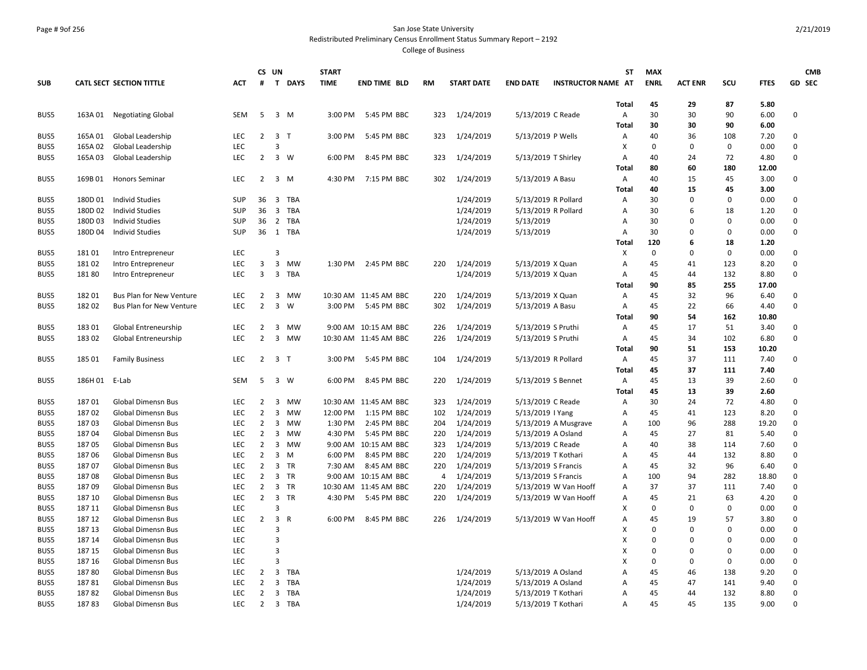## Page # 9of 256 San Jose State University Redistributed Preliminary Census Enrollment Status Summary Report – 2192

|            |               |                                 |            | CS UN               |                |             | <b>START</b> |                       |           |                   |                   |                           | ST                | <b>MAX</b>  |                |             |             | <b>CMB</b>  |
|------------|---------------|---------------------------------|------------|---------------------|----------------|-------------|--------------|-----------------------|-----------|-------------------|-------------------|---------------------------|-------------------|-------------|----------------|-------------|-------------|-------------|
| <b>SUB</b> |               | <b>CATL SECT SECTION TITTLE</b> | <b>ACT</b> | #                   |                | T DAYS      | <b>TIME</b>  | <b>END TIME BLD</b>   | <b>RM</b> | <b>START DATE</b> | <b>END DATE</b>   | <b>INSTRUCTOR NAME AT</b> |                   | <b>ENRL</b> | <b>ACT ENR</b> | SCU         | <b>FTES</b> | GD SEC      |
|            |               |                                 |            |                     |                |             |              |                       |           |                   |                   |                           |                   | 45          | 29             | 87          | 5.80        |             |
| BUS5       | 163A 01       | <b>Negotiating Global</b>       | SEM        | 5                   |                | $3 \, M$    | 3:00 PM      | 5:45 PM BBC           | 323       | 1/24/2019         |                   | 5/13/2019 C Reade         | <b>Total</b><br>Α | 30          | 30             | 90          | 6.00        | $\mathbf 0$ |
|            |               |                                 |            |                     |                |             |              |                       |           |                   |                   |                           | Total             | 30          | 30             | 90          | 6.00        |             |
| BUS5       | 165A01        | Global Leadership               | <b>LEC</b> | $\overline{2}$      | 3 <sub>T</sub> |             | 3:00 PM      | 5:45 PM BBC           | 323       | 1/24/2019         | 5/13/2019 P Wells |                           | Α                 | 40          | 36             | 108         | 7.20        | 0           |
| BUS5       | 165A 02       | Global Leadership               | <b>LEC</b> |                     | 3              |             |              |                       |           |                   |                   |                           | X                 | 0           | 0              | $\mathbf 0$ | 0.00        | $\mathbf 0$ |
| BUS5       | 165A03        | Global Leadership               | <b>LEC</b> | $\overline{2}$      |                | $3 \quad W$ | 6:00 PM      | 8:45 PM BBC           | 323       | 1/24/2019         |                   | 5/13/2019 T Shirley       | Α                 | 40          | 24             | 72          | 4.80        | $\mathbf 0$ |
|            |               |                                 |            |                     |                |             |              |                       |           |                   |                   |                           | Total             | 80          | 60             | 180         | 12.00       |             |
| BUS5       | 169B01        | <b>Honors Seminar</b>           | <b>LEC</b> | 2                   |                | 3 M         | 4:30 PM      | 7:15 PM BBC           | 302       | 1/24/2019         | 5/13/2019 A Basu  |                           | Α                 | 40          | 15             | 45          | 3.00        | $\mathbf 0$ |
|            |               |                                 |            |                     |                |             |              |                       |           |                   |                   |                           | <b>Total</b>      | 40          | 15             | 45          | 3.00        |             |
| BUS5       | 180D 01       | <b>Individ Studies</b>          | SUP        | 36                  |                | 3 TBA       |              |                       |           | 1/24/2019         |                   | 5/13/2019 R Pollard       | A                 | 30          | $\mathbf{0}$   | 0           | 0.00        | $\mathbf 0$ |
| BUS5       | 180D 02       | <b>Individ Studies</b>          | <b>SUP</b> | 36                  |                | 3 TBA       |              |                       |           | 1/24/2019         |                   | 5/13/2019 R Pollard       | A                 | 30          | 6              | 18          | 1.20        | $\mathbf 0$ |
| BUS5       | 180D03        | <b>Individ Studies</b>          | <b>SUP</b> |                     |                | 36 2 TBA    |              |                       |           | 1/24/2019         | 5/13/2019         |                           | A                 | 30          | $\mathbf{0}$   | $\Omega$    | 0.00        | $\mathbf 0$ |
| BUS5       | 180D 04       | <b>Individ Studies</b>          | <b>SUP</b> |                     |                | 36 1 TBA    |              |                       |           | 1/24/2019         | 5/13/2019         |                           | A                 | 30          | $\Omega$       | $\Omega$    | 0.00        | $\mathbf 0$ |
|            |               |                                 |            |                     |                |             |              |                       |           |                   |                   |                           | Total             | 120         | 6              | 18          | 1.20        |             |
| BUS5       | 18101         | Intro Entrepreneur              | LEC        |                     | $\overline{3}$ |             |              |                       |           |                   |                   |                           | X                 | $\mathbf 0$ | $\mathbf 0$    | 0           | 0.00        | $\mathbf 0$ |
| BUS5       | 18102         | Intro Entrepreneur              | <b>LEC</b> | 3                   | $\overline{3}$ | MW          |              | 1:30 PM 2:45 PM BBC   | 220       | 1/24/2019         | 5/13/2019 X Quan  |                           | A                 | 45          | 41             | 123         | 8.20        | $\mathbf 0$ |
| BUS5       | 18180         | Intro Entrepreneur              | <b>LEC</b> | 3                   |                | 3 TBA       |              |                       |           | 1/24/2019         | 5/13/2019 X Quan  |                           | Α                 | 45          | 44             | 132         | 8.80        | $\mathbf 0$ |
|            |               |                                 |            |                     |                |             |              |                       |           |                   |                   |                           | <b>Total</b>      | 90          | 85             | 255         | 17.00       |             |
| BUS5       | 182 01        | Bus Plan for New Venture        | <b>LEC</b> | $\overline{2}$      |                | 3 MW        |              | 10:30 AM 11:45 AM BBC | 220       | 1/24/2019         | 5/13/2019 X Quan  |                           | Α                 | 45          | 32             | 96          | 6.40        | 0           |
| BUS5       | 18202         | <b>Bus Plan for New Venture</b> | <b>LEC</b> | $\overline{2}$      |                | 3 W         | 3:00 PM      | 5:45 PM BBC           | 302       | 1/24/2019         | 5/13/2019 A Basu  |                           | Α                 | 45          | 22             | 66          | 4.40        | $\mathbf 0$ |
|            |               |                                 |            |                     |                |             |              |                       |           |                   |                   |                           | Total             | 90          | 54             | 162         | 10.80       |             |
| BUS5       | 18301         | Global Entreneurship            | <b>LEC</b> | 2                   |                | 3 MW        |              | 9:00 AM 10:15 AM BBC  | 226       | 1/24/2019         |                   | 5/13/2019 S Pruthi        | Α                 | 45          | 17             | 51          | 3.40        | 0           |
| BUS5       | 18302         | Global Entreneurship            | <b>LEC</b> | $\overline{2}$      |                | 3 MW        |              | 10:30 AM 11:45 AM BBC | 226       | 1/24/2019         |                   | 5/13/2019 S Pruthi        | Α                 | 45          | 34             | 102         | 6.80        | $\mathbf 0$ |
|            |               |                                 |            |                     |                |             |              |                       |           |                   |                   |                           | <b>Total</b>      | 90          | 51             | 153         | 10.20       |             |
| BUS5       | 185 01        | <b>Family Business</b>          | <b>LEC</b> | $2 \quad 3 \quad T$ |                |             | 3:00 PM      | 5:45 PM BBC           | 104       | 1/24/2019         |                   | 5/13/2019 R Pollard       | Α                 | 45          | 37             | 111         | 7.40        | $\mathbf 0$ |
|            |               |                                 |            |                     |                |             |              |                       |           |                   |                   |                           | Total             | 45          | 37             | 111         | 7.40        |             |
| BUS5       | 186H 01 E-Lab |                                 | <b>SEM</b> | 5                   |                | 3 W         | 6:00 PM      | 8:45 PM BBC           | 220       | 1/24/2019         |                   | 5/13/2019 S Bennet        | Α                 | 45          | 13             | 39          | 2.60        | $\mathbf 0$ |
|            |               |                                 |            |                     |                |             |              |                       |           |                   |                   |                           | <b>Total</b>      | 45          | 13             | 39          | 2.60        |             |
| BUS5       | 18701         | Global Dimensn Bus              | <b>LEC</b> | $\overline{2}$      | 3              | MW          |              | 10:30 AM 11:45 AM BBC | 323       | 1/24/2019         |                   | 5/13/2019 C Reade         | Α                 | 30          | 24             | 72          | 4.80        | 0           |
| BUS5       | 18702         | Global Dimensn Bus              | <b>LEC</b> | $\overline{2}$      | $\overline{3}$ | MW          | 12:00 PM     | 1:15 PM BBC           | 102       | 1/24/2019         | 5/13/2019   Yang  |                           | A                 | 45          | 41             | 123         | 8.20        | $\mathbf 0$ |
| BUS5       | 18703         | <b>Global Dimensn Bus</b>       | <b>LEC</b> | 2                   |                | 3 MW        | 1:30 PM      | 2:45 PM BBC           | 204       | 1/24/2019         |                   | 5/13/2019 A Musgrave      | A                 | 100         | 96             | 288         | 19.20       | 0           |
| BUS5       | 18704         | Global Dimensn Bus              | <b>LEC</b> | $\overline{2}$      |                | 3 MW        | 4:30 PM      | 5:45 PM BBC           | 220       | 1/24/2019         |                   | 5/13/2019 A Osland        | Α                 | 45          | 27             | 81          | 5.40        | $\mathsf 0$ |
| BUS5       | 18705         | <b>Global Dimensn Bus</b>       | <b>LEC</b> | $\overline{2}$      |                | 3 MW        |              | 9:00 AM 10:15 AM BBC  | 323       | 1/24/2019         |                   | 5/13/2019 C Reade         | A                 | 40          | 38             | 114         | 7.60        | $\mathsf 0$ |
| BUS5       | 18706         | <b>Global Dimensn Bus</b>       | <b>LEC</b> | $\overline{2}$      |                | $3 \, M$    | 6:00 PM      | 8:45 PM BBC           | 220       | 1/24/2019         |                   | 5/13/2019 T Kothari       | Α                 | 45          | 44             | 132         | 8.80        | $\mathbf 0$ |
| BUS5       | 18707         | <b>Global Dimensn Bus</b>       | <b>LEC</b> | 2                   |                | 3 TR        | 7:30 AM      | 8:45 AM BBC           | 220       | 1/24/2019         |                   | 5/13/2019 S Francis       | A                 | 45          | 32             | 96          | 6.40        | 0           |
| BUS5       | 18708         | <b>Global Dimensn Bus</b>       | <b>LEC</b> | $\overline{2}$      |                | 3 TR        |              | 9:00 AM 10:15 AM BBC  | 4         | 1/24/2019         |                   | 5/13/2019 S Francis       | A                 | 100         | 94             | 282         | 18.80       | $\mathbf 0$ |
| BUS5       | 18709         | <b>Global Dimensn Bus</b>       | <b>LEC</b> | 2                   |                | 3 TR        |              | 10:30 AM 11:45 AM BBC | 220       | 1/24/2019         |                   | 5/13/2019 W Van Hooff     | Α                 | 37          | 37             | 111         | 7.40        | 0           |
| BUS5       | 187 10        | <b>Global Dimensn Bus</b>       | <b>LEC</b> | $\overline{2}$      |                | 3 TR        | 4:30 PM      | 5:45 PM BBC           | 220       | 1/24/2019         |                   | 5/13/2019 W Van Hooff     | Α                 | 45          | 21             | 63          | 4.20        | $\mathbf 0$ |
| BUS5       | 187 11        | Global Dimensn Bus              | LEC        |                     | $\overline{3}$ |             |              |                       |           |                   |                   |                           | X                 | 0           | $\mathbf 0$    | 0           | 0.00        | $\mathbf 0$ |
| BUS5       | 187 12        | <b>Global Dimensn Bus</b>       | <b>LEC</b> | $\overline{2}$      |                | 3 R         | 6:00 PM      | 8:45 PM BBC           | 226       | 1/24/2019         |                   | 5/13/2019 W Van Hooff     | A                 | 45          | 19             | 57          | 3.80        | $\mathbf 0$ |
| BUS5       | 187 13        | <b>Global Dimensn Bus</b>       | <b>LEC</b> |                     | $\overline{3}$ |             |              |                       |           |                   |                   |                           | X                 | $\Omega$    | $\Omega$       | $\Omega$    | 0.00        | $\mathsf 0$ |
| BUS5       | 187 14        | <b>Global Dimensn Bus</b>       | <b>LEC</b> |                     | $\overline{3}$ |             |              |                       |           |                   |                   |                           | X                 | $\Omega$    | $\Omega$       | $\Omega$    | 0.00        | $\mathbf 0$ |
| BUS5       | 187 15        | Global Dimensn Bus              | LEC        |                     | $\overline{3}$ |             |              |                       |           |                   |                   |                           | X                 | $\Omega$    | $\Omega$       | 0           | 0.00        | $\mathsf 0$ |
| BUS5       | 187 16        | <b>Global Dimensn Bus</b>       | <b>LEC</b> |                     | $\overline{3}$ |             |              |                       |           |                   |                   |                           | X                 | $\mathbf 0$ | $\mathbf{0}$   | 0           | 0.00        | 0           |
| BUS5       | 18780         | <b>Global Dimensn Bus</b>       | <b>LEC</b> | $\overline{2}$      | $\overline{3}$ | TBA         |              |                       |           | 1/24/2019         |                   | 5/13/2019 A Osland        | A                 | 45          | 46             | 138         | 9.20        | $\mathsf 0$ |
| BUS5       | 18781         | <b>Global Dimensn Bus</b>       | <b>LEC</b> | $\overline{2}$      |                | 3 TBA       |              |                       |           | 1/24/2019         |                   | 5/13/2019 A Osland        | A                 | 45          | 47             | 141         | 9.40        | 0           |
| BUS5       | 18782         | <b>Global Dimensn Bus</b>       | LEC        | $\overline{2}$      |                | 3 TBA       |              |                       |           | 1/24/2019         |                   | 5/13/2019 T Kothari       | A                 | 45          | 44             | 132         | 8.80        | $\mathbf 0$ |
| BUS5       | 18783         | <b>Global Dimensn Bus</b>       | <b>LEC</b> |                     |                | 2 3 TBA     |              |                       |           | 1/24/2019         |                   | 5/13/2019 T Kothari       | A                 | 45          | 45             | 135         | 9.00        | $\Omega$    |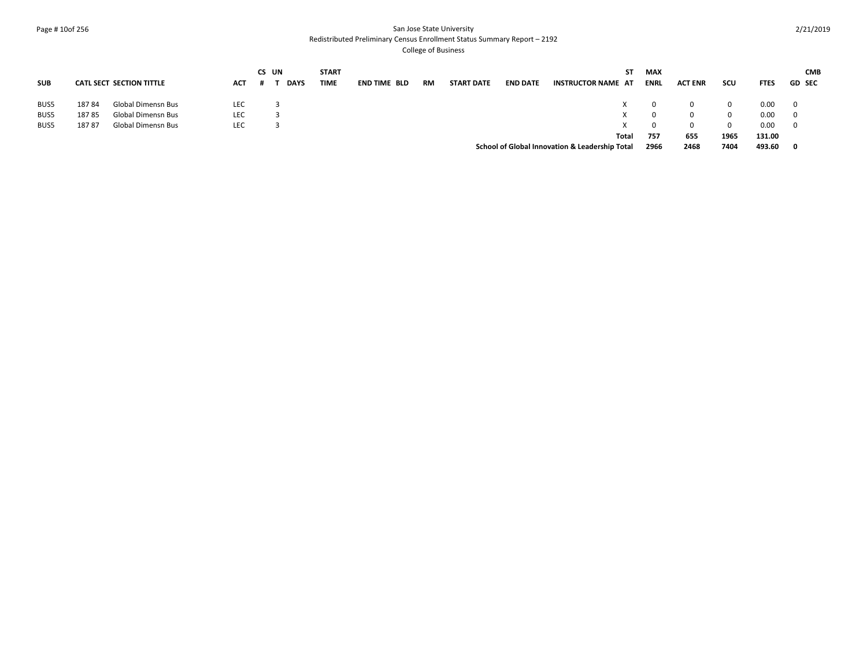#### Page # 10of 256 San Jose State University Redistributed Preliminary Census Enrollment Status Summary Report – 2192

|            |       |                                 |            | CS UN |             | <b>START</b> |                     |           |                   |                 |                                                | ST    | MAX         |                |      |             | <b>CMB</b>    |
|------------|-------|---------------------------------|------------|-------|-------------|--------------|---------------------|-----------|-------------------|-----------------|------------------------------------------------|-------|-------------|----------------|------|-------------|---------------|
| <b>SUB</b> |       | <b>CATL SECT SECTION TITTLE</b> | <b>ACT</b> |       | <b>DAYS</b> | <b>TIME</b>  | <b>END TIME BLD</b> | <b>RM</b> | <b>START DATE</b> | <b>END DATE</b> | <b>INSTRUCTOR NAME AT</b>                      |       | <b>ENRL</b> | <b>ACT ENR</b> | scu  | <b>FTES</b> | <b>GD SEC</b> |
| BUS5       | 18784 | <b>Global Dimensn Bus</b>       | LEC        |       |             |              |                     |           |                   |                 |                                                |       | 0           | 0              |      | 0.00        |               |
| BUS5       | 18785 | <b>Global Dimensn Bus</b>       | LEC        |       |             |              |                     |           |                   |                 |                                                |       | 0           | 0              | 0    | 0.00        |               |
| BUS5       | 18787 | Global Dimensn Bus              | LEC        |       |             |              |                     |           |                   |                 |                                                |       |             | $\Omega$       | 0    | 0.00        |               |
|            |       |                                 |            |       |             |              |                     |           |                   |                 |                                                | Total | 757         | 655            | 1965 | 131.00      |               |
|            |       |                                 |            |       |             |              |                     |           |                   |                 | School of Global Innovation & Leadership Total |       | 2966        | 2468           | 7404 | 493.60      |               |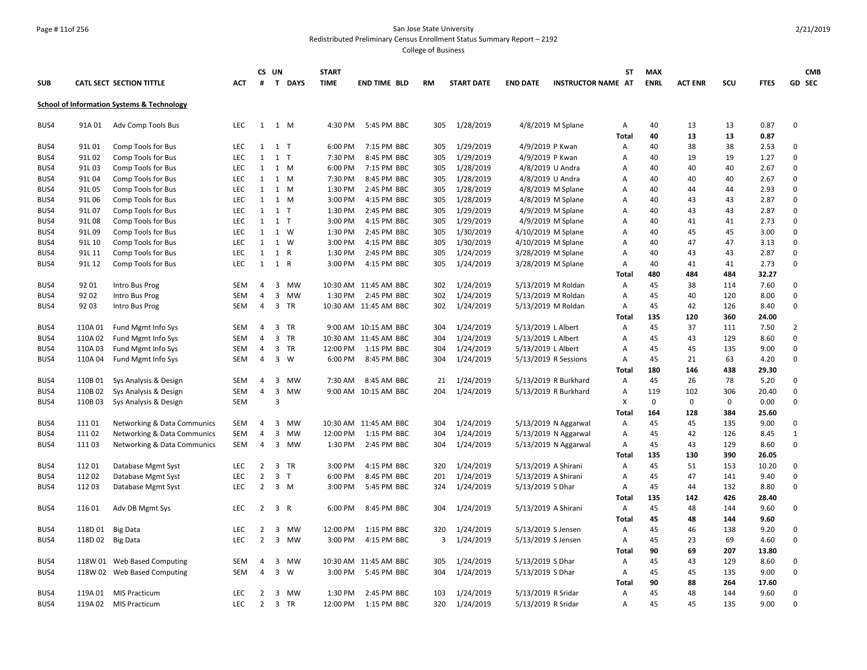#### Page # 11of 256 San Jose State University Redistributed Preliminary Census Enrollment Status Summary Report – 2192

|            |         |                                                       |            |                | CS UN                   |                | <b>START</b> |                       |           |                   |                    |                           | <b>ST</b>         | <b>MAX</b>  |                |           |               | <b>CMB</b>     |
|------------|---------|-------------------------------------------------------|------------|----------------|-------------------------|----------------|--------------|-----------------------|-----------|-------------------|--------------------|---------------------------|-------------------|-------------|----------------|-----------|---------------|----------------|
| <b>SUB</b> |         | <b>CATL SECT SECTION TITTLE</b>                       | <b>ACT</b> | #              |                         | T DAYS         | <b>TIME</b>  | <b>END TIME BLD</b>   | <b>RM</b> | <b>START DATE</b> | <b>END DATE</b>    | <b>INSTRUCTOR NAME AT</b> |                   | <b>ENRL</b> | <b>ACT ENR</b> | SCU       | <b>FTES</b>   | <b>GD SEC</b>  |
|            |         | <b>School of Information Systems &amp; Technology</b> |            |                |                         |                |              |                       |           |                   |                    |                           |                   |             |                |           |               |                |
| BUS4       | 91A01   | Adv Comp Tools Bus                                    | <b>LEC</b> | 1              |                         | 1 M            | 4:30 PM      | 5:45 PM BBC           | 305       | 1/28/2019         |                    | 4/8/2019 M Splane         | Α                 | 40          | 13             | 13        | 0.87          | $\mathbf 0$    |
|            |         |                                                       |            |                |                         |                |              |                       |           |                   |                    |                           | <b>Total</b>      | 40          | 13             | 13        | 0.87          |                |
| BUS4       | 91L 01  | Comp Tools for Bus                                    | <b>LEC</b> | 1              |                         | $1$ T          | 6:00 PM      | 7:15 PM BBC           | 305       | 1/29/2019         |                    | 4/9/2019 P Kwan           | Α                 | 40          | 38             | 38        | 2.53          | $\Omega$       |
| BUS4       | 91L 02  | Comp Tools for Bus                                    | <b>LEC</b> | 1              |                         | $1$ T          | 7:30 PM      | 8:45 PM BBC           | 305       | 1/29/2019         |                    | 4/9/2019 P Kwan           | $\overline{A}$    | 40          | 19             | 19        | 1.27          | 0              |
| BUS4       | 91L03   | Comp Tools for Bus                                    | LEC.       | 1              |                         | 1 M            | 6:00 PM      | 7:15 PM BBC           | 305       | 1/28/2019         |                    | 4/8/2019 U Andra          | A                 | 40          | 40             | 40        | 2.67          | $\mathbf 0$    |
| BUS4       | 91L04   | Comp Tools for Bus                                    | LEC        |                | 1 1 M                   |                | 7:30 PM      | 8:45 PM BBC           | 305       | 1/28/2019         |                    | 4/8/2019 U Andra          | Α                 | 40          | 40             | 40        | 2.67          | 0              |
| BUS4       | 91L05   | Comp Tools for Bus                                    | LEC        | 1              |                         | 1 M            | 1:30 PM      | 2:45 PM BBC           | 305       | 1/28/2019         |                    | 4/8/2019 M Splane         | Α                 | 40          | 44             | 44        | 2.93          | $\mathsf 0$    |
| BUS4       | 91L06   | Comp Tools for Bus                                    | <b>LEC</b> | 1              |                         | 1 M            | 3:00 PM      | 4:15 PM BBC           | 305       | 1/28/2019         |                    | 4/8/2019 M Splane         | Α                 | 40          | 43             | 43        | 2.87          | 0              |
| BUS4       | 91L07   | Comp Tools for Bus                                    | <b>LEC</b> | $\mathbf{1}$   |                         | $1$ T          | 1:30 PM      | 2:45 PM BBC           | 305       | 1/29/2019         |                    | 4/9/2019 M Splane         | Α                 | 40          | 43             | 43        | 2.87          | $\mathbf 0$    |
| BUS4       | 91L08   | Comp Tools for Bus                                    | <b>LEC</b> | 1              |                         | $1$ T          | 3:00 PM      | 4:15 PM BBC           | 305       | 1/29/2019         |                    | 4/9/2019 M Splane         | Α                 | 40          | 41             | 41        | 2.73          | 0              |
| BUS4       | 91L09   | Comp Tools for Bus                                    | <b>LEC</b> | 1              |                         | 1 W            | 1:30 PM      | 2:45 PM BBC           | 305       | 1/30/2019         |                    | 4/10/2019 M Splane        | Α                 | 40          | 45             | 45        | 3.00          | $\mathsf 0$    |
| BUS4       | 91L 10  | Comp Tools for Bus                                    | <b>LEC</b> | 1              |                         | 1 W            | 3:00 PM      | 4:15 PM BBC           | 305       | 1/30/2019         |                    | 4/10/2019 M Splane        | Α                 | 40          | 47             | 47        | 3.13          | $\mathbf 0$    |
| BUS4       | 91L 11  | Comp Tools for Bus                                    | LEC        | $\mathbf{1}$   |                         | 1 R            | 1:30 PM      | 2:45 PM BBC           | 305       | 1/24/2019         |                    | 3/28/2019 M Splane        | Α                 | 40          | 43             | 43        | 2.87          | $\mathsf 0$    |
| BUS4       | 91L 12  | Comp Tools for Bus                                    | <b>LEC</b> | 1              |                         | 1 R            | 3:00 PM      | 4:15 PM BBC           | 305       | 1/24/2019         |                    | 3/28/2019 M Splane        | Α                 | 40          | 41             | 41        | 2.73          | 0              |
|            |         |                                                       |            |                |                         |                |              |                       |           |                   |                    |                           | <b>Total</b>      | 480         | 484            | 484       | 32.27         |                |
| BUS4       | 9201    | Intro Bus Prog                                        | <b>SEM</b> | 4              | $\overline{\mathbf{3}}$ | MW             |              | 10:30 AM 11:45 AM BBC | 302       | 1/24/2019         |                    | 5/13/2019 M Roldan        | Α                 | 45          | 38             | 114       | 7.60          | $\mathbf 0$    |
| BUS4       | 92 02   | Intro Bus Prog                                        | <b>SEM</b> | 4              |                         | 3 MW           |              | 1:30 PM 2:45 PM BBC   | 302       | 1/24/2019         |                    | 5/13/2019 M Roldan        | Α                 | 45          | 40             | 120       | 8.00          | 0              |
| BUS4       | 9203    | Intro Bus Prog                                        | <b>SEM</b> | $\overline{4}$ |                         | 3 TR           |              | 10:30 AM 11:45 AM BBC | 302       | 1/24/2019         |                    | 5/13/2019 M Roldan        | Α                 | 45          | 42             | 126       | 8.40          | 0              |
|            |         |                                                       |            |                |                         |                |              |                       |           |                   |                    |                           | Total             | 135         | 120            | 360       | 24.00         |                |
| BUS4       | 110A01  | Fund Mgmt Info Sys                                    | <b>SEM</b> | 4              |                         | 3 TR           |              | 9:00 AM 10:15 AM BBC  | 304       | 1/24/2019         |                    | 5/13/2019 L Albert        | $\overline{A}$    | 45          | 37             | 111       | 7.50          | $\overline{2}$ |
| BUS4       | 110A 02 | Fund Mgmt Info Sys                                    | <b>SEM</b> | 4              |                         | 3 TR           |              | 10:30 AM 11:45 AM BBC | 304       | 1/24/2019         |                    | 5/13/2019 L Albert        | $\overline{A}$    | 45          | 43             | 129       | 8.60          | 0              |
| BUS4       | 110A03  | Fund Mgmt Info Sys                                    | <b>SEM</b> | 4              |                         | 3 TR           | 12:00 PM     | 1:15 PM BBC           | 304       | 1/24/2019         |                    | 5/13/2019 L Albert        | Α                 | 45          | 45             | 135       | 9.00          | $\mathsf 0$    |
| BUS4       | 110A 04 | Fund Mgmt Info Sys                                    | SEM        | 4              |                         | 3 W            | 6:00 PM      | 8:45 PM BBC           | 304       | 1/24/2019         |                    | 5/13/2019 R Sessions      | Α<br><b>Total</b> | 45<br>180   | 21<br>146      | 63<br>438 | 4.20<br>29.30 | 0              |
| BUS4       | 110B 01 | Sys Analysis & Design                                 | <b>SEM</b> | 4              |                         | 3 MW           | 7:30 AM      | 8:45 AM BBC           | 21        | 1/24/2019         |                    | 5/13/2019 R Burkhard      | Α                 | 45          | 26             | 78        | 5.20          | 0              |
| BUS4       | 110B02  | Sys Analysis & Design                                 | <b>SEM</b> | 4              | $\mathbf{3}$            | <b>MW</b>      |              | 9:00 AM 10:15 AM BBC  | 204       | 1/24/2019         |                    | 5/13/2019 R Burkhard      | A                 | 119         | 102            | 306       | 20.40         | $\mathsf 0$    |
| BUS4       | 110B03  | Sys Analysis & Design                                 | <b>SEM</b> |                | 3                       |                |              |                       |           |                   |                    |                           | X                 | $\mathbf 0$ | $\mathbf 0$    | 0         | 0.00          | $\mathbf 0$    |
|            |         |                                                       |            |                |                         |                |              |                       |           |                   |                    |                           | <b>Total</b>      | 164         | 128            | 384       | 25.60         |                |
| BUS4       | 11101   | Networking & Data Communics                           | <b>SEM</b> | 4              |                         | 3 MW           |              | 10:30 AM 11:45 AM BBC | 304       | 1/24/2019         |                    | 5/13/2019 N Aggarwal      | Α                 | 45          | 45             | 135       | 9.00          | 0              |
| BUS4       | 11102   | Networking & Data Communics                           | <b>SEM</b> | 4              |                         | 3 MW           |              | 12:00 PM 1:15 PM BBC  | 304       | 1/24/2019         |                    | 5/13/2019 N Aggarwal      | Α                 | 45          | 42             | 126       | 8.45          | 1              |
| BUS4       | 11103   | Networking & Data Communics                           | <b>SEM</b> | $\overline{4}$ |                         | 3 MW           | 1:30 PM      | 2:45 PM BBC           | 304       | 1/24/2019         |                    | 5/13/2019 N Aggarwal      | Α                 | 45          | 43             | 129       | 8.60          | $\mathbf 0$    |
|            |         |                                                       |            |                |                         |                |              |                       |           |                   |                    |                           | Total             | 135         | 130            | 390       | 26.05         |                |
| BUS4       | 112 01  | Database Mgmt Syst                                    | LEC.       | $\overline{2}$ |                         | 3 TR           | 3:00 PM      | 4:15 PM BBC           | 320       | 1/24/2019         |                    | 5/13/2019 A Shirani       | Α                 | 45          | 51             | 153       | 10.20         | $\mathbf 0$    |
| BUS4       | 11202   | Database Mgmt Syst                                    | <b>LEC</b> | $\overline{2}$ |                         | 3 <sub>T</sub> | 6:00 PM      | 8:45 PM BBC           | 201       | 1/24/2019         |                    | 5/13/2019 A Shirani       | $\overline{A}$    | 45          | 47             | 141       | 9.40          | $\mathsf 0$    |
| BUS4       | 11203   | Database Mgmt Syst                                    | <b>LEC</b> | $\overline{2}$ |                         | 3 M            | 3:00 PM      | 5:45 PM BBC           | 324       | 1/24/2019         | 5/13/2019 S Dhar   |                           | Α                 | 45          | 44             | 132       | 8.80          | $\mathbf 0$    |
|            |         |                                                       |            |                |                         |                |              |                       |           |                   |                    |                           | Total             | 135         | 142            | 426       | 28.40         |                |
| BUS4       | 11601   | Adv DB Mgmt Sys                                       | <b>LEC</b> | $\overline{2}$ |                         | 3 R            | 6:00 PM      | 8:45 PM BBC           | 304       | 1/24/2019         |                    | 5/13/2019 A Shirani       | Α                 | 45          | 48             | 144       | 9.60          | 0              |
|            |         |                                                       |            |                |                         |                |              |                       |           |                   |                    |                           | <b>Total</b>      | 45          | 48             | 144       | 9.60          |                |
| BUS4       | 118D 01 | <b>Big Data</b>                                       | <b>LEC</b> | $\overline{2}$ |                         | 3 MW           | 12:00 PM     | 1:15 PM BBC           | 320       | 1/24/2019         |                    | 5/13/2019 S Jensen        | Α                 | 45          | 46             | 138       | 9.20          | 0              |
| BUS4       | 118D 02 | <b>Big Data</b>                                       | <b>LEC</b> | 2              |                         | 3 MW           | 3:00 PM      | 4:15 PM BBC           | 3         | 1/24/2019         |                    | 5/13/2019 S Jensen        | Α                 | 45          | 23             | 69        | 4.60          | $\mathbf 0$    |
|            |         |                                                       |            |                |                         |                |              |                       |           |                   |                    |                           | <b>Total</b>      | 90          | 69             | 207       | 13.80         |                |
| BUS4       |         | 118W 01 Web Based Computing                           | <b>SEM</b> | 4              | 3                       | MW             |              | 10:30 AM 11:45 AM BBC | 305       | 1/24/2019         | 5/13/2019 S Dhar   |                           | Α                 | 45          | 43             | 129       | 8.60          | 0              |
| BUS4       |         | 118W 02 Web Based Computing                           | <b>SEM</b> | $\overline{4}$ |                         | 3 W            |              | 3:00 PM 5:45 PM BBC   | 304       | 1/24/2019         | 5/13/2019 S Dhar   |                           | Α                 | 45          | 45             | 135       | 9.00          | $\mathsf 0$    |
|            |         |                                                       |            |                |                         |                |              |                       |           |                   |                    |                           | Total             | 90          | 88             | 264       | 17.60         |                |
| BUS4       | 119A 01 | <b>MIS Practicum</b>                                  | <b>LEC</b> | 2              |                         | 3 MW           | 1:30 PM      | 2:45 PM BBC           | 103       | 1/24/2019         | 5/13/2019 R Sridar |                           | Α                 | 45          | 48             | 144       | 9.60          | $\mathsf 0$    |
| BUS4       |         | 119A 02 MIS Practicum                                 | <b>LEC</b> | $\overline{2}$ |                         | 3 TR           | 12:00 PM     | 1:15 PM BBC           | 320       | 1/24/2019         |                    | 5/13/2019 R Sridar        | Α                 | 45          | 45             | 135       | 9.00          | $\mathbf 0$    |
|            |         |                                                       |            |                |                         |                |              |                       |           |                   |                    |                           |                   |             |                |           |               |                |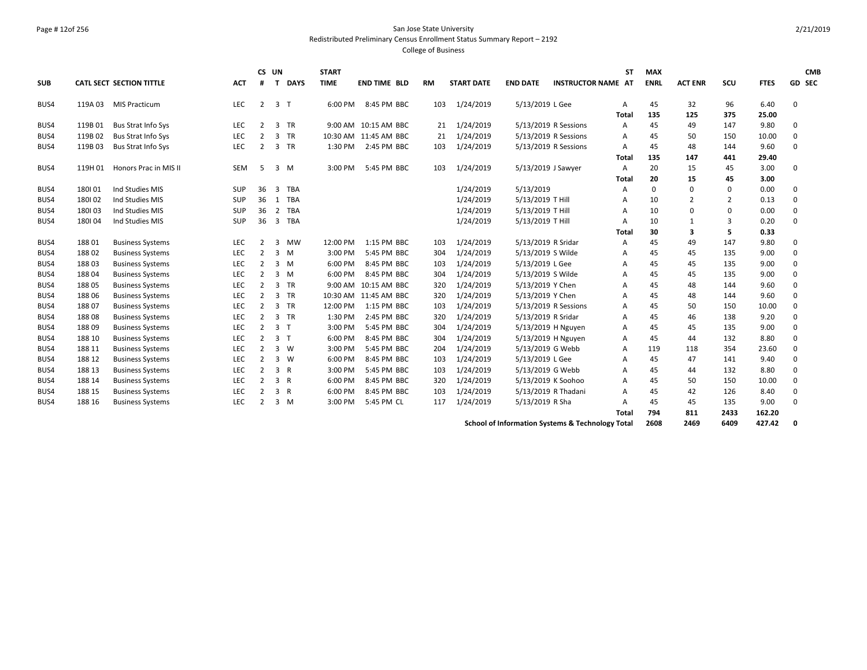## Page # 12of 256 San Jose State University Redistributed Preliminary Census Enrollment Status Summary Report – 2192

College of Business

|            |         |                                 |            |                | CS UN                   |            | <b>START</b> |                       |           |                   |                    |                                                  | <b>ST</b>    | <b>MAX</b>  |                |                |             |             | <b>CMB</b> |
|------------|---------|---------------------------------|------------|----------------|-------------------------|------------|--------------|-----------------------|-----------|-------------------|--------------------|--------------------------------------------------|--------------|-------------|----------------|----------------|-------------|-------------|------------|
| <b>SUB</b> |         | <b>CATL SECT SECTION TITTLE</b> | <b>ACT</b> | #              |                         | T DAYS     | <b>TIME</b>  | <b>END TIME BLD</b>   | <b>RM</b> | <b>START DATE</b> | <b>END DATE</b>    | <b>INSTRUCTOR NAME AT</b>                        |              | <b>ENRL</b> | <b>ACT ENR</b> | SCU            | <b>FTES</b> | GD SEC      |            |
| BUS4       | 119A 03 | <b>MIS Practicum</b>            | LEC        | $\overline{2}$ | 3 <sub>1</sub>          |            | 6:00 PM      | 8:45 PM BBC           | 103       | 1/24/2019         | 5/13/2019 L Gee    |                                                  | A            | 45          | 32             | 96             | 6.40        | 0           |            |
|            |         |                                 |            |                |                         |            |              |                       |           |                   |                    |                                                  | <b>Total</b> | 135         | 125            | 375            | 25.00       |             |            |
| BUS4       | 119B01  | <b>Bus Strat Info Sys</b>       | <b>LEC</b> | 2              | 3                       | TR         |              | 9:00 AM 10:15 AM BBC  | 21        | 1/24/2019         |                    | 5/13/2019 R Sessions                             | A            | 45          | 49             | 147            | 9.80        | 0           |            |
| BUS4       | 119B02  | Bus Strat Info Sys              | <b>LEC</b> | 2              | 3                       | <b>TR</b>  |              | 10:30 AM 11:45 AM BBC | 21        | 1/24/2019         |                    | 5/13/2019 R Sessions                             | Α            | 45          | 50             | 150            | 10.00       | 0           |            |
| BUS4       | 119B03  | Bus Strat Info Sys              | <b>LEC</b> | 2              | 3                       | <b>TR</b>  | 1:30 PM      | 2:45 PM BBC           | 103       | 1/24/2019         |                    | 5/13/2019 R Sessions                             | Α            | 45          | 48             | 144            | 9.60        | 0           |            |
|            |         |                                 |            |                |                         |            |              |                       |           |                   |                    |                                                  | Total        | 135         | 147            | 441            | 29.40       |             |            |
| BUS4       | 119H 01 | Honors Prac in MIS II           | <b>SEM</b> | -5             |                         | $3 \, M$   | 3:00 PM      | 5:45 PM BBC           | 103       | 1/24/2019         |                    | 5/13/2019 J Sawyer                               | A            | 20          | 15             | 45             | 3.00        | $\mathbf 0$ |            |
|            |         |                                 |            |                |                         |            |              |                       |           |                   |                    |                                                  | Total        | 20          | 15             | 45             | 3.00        |             |            |
| BUS4       | 180101  | Ind Studies MIS                 | <b>SUP</b> | 36             | $\overline{\mathbf{3}}$ | TBA        |              |                       |           | 1/24/2019         | 5/13/2019          |                                                  | А            | $\mathbf 0$ | $\mathbf 0$    | 0              | 0.00        | $\mathbf 0$ |            |
| BUS4       | 180102  | Ind Studies MIS                 | SUP        | 36             | 1                       | <b>TBA</b> |              |                       |           | 1/24/2019         | 5/13/2019 T Hill   |                                                  | А            | 10          | $\overline{2}$ | $\overline{2}$ | 0.13        | 0           |            |
| BUS4       | 180103  | Ind Studies MIS                 | <b>SUP</b> | 36             | $\overline{2}$          | <b>TBA</b> |              |                       |           | 1/24/2019         | 5/13/2019 T Hill   |                                                  | A            | 10          | $\mathbf 0$    | 0              | 0.00        | 0           |            |
| BUS4       | 180104  | Ind Studies MIS                 | <b>SUP</b> | 36             | $\overline{3}$          | <b>TBA</b> |              |                       |           | 1/24/2019         | 5/13/2019 T Hill   |                                                  | A            | 10          | 1              | 3              | 0.20        | $\mathbf 0$ |            |
|            |         |                                 |            |                |                         |            |              |                       |           |                   |                    |                                                  | Total        | 30          | 3              | 5              | 0.33        |             |            |
| BUS4       | 18801   | <b>Business Systems</b>         | <b>LEC</b> | 2              | $\overline{\mathbf{3}}$ | <b>MW</b>  | 12:00 PM     | 1:15 PM BBC           | 103       | 1/24/2019         | 5/13/2019 R Sridar |                                                  | A            | 45          | 49             | 147            | 9.80        | 0           |            |
| BUS4       | 18802   | <b>Business Systems</b>         | <b>LEC</b> | $\overline{2}$ | $\overline{\mathbf{3}}$ | M          | 3:00 PM      | 5:45 PM BBC           | 304       | 1/24/2019         | 5/13/2019 S Wilde  |                                                  | Α            | 45          | 45             | 135            | 9.00        | 0           |            |
| BUS4       | 18803   | <b>Business Systems</b>         | <b>LEC</b> | $\overline{2}$ |                         | 3 M        | 6:00 PM      | 8:45 PM BBC           | 103       | 1/24/2019         | 5/13/2019 L Gee    |                                                  | A            | 45          | 45             | 135            | 9.00        | $\mathbf 0$ |            |
| BUS4       | 18804   | <b>Business Systems</b>         | <b>LEC</b> | $\overline{2}$ |                         | 3 M        | 6:00 PM      | 8:45 PM BBC           | 304       | 1/24/2019         | 5/13/2019 S Wilde  |                                                  | A            | 45          | 45             | 135            | 9.00        | $\mathbf 0$ |            |
| BUS4       | 18805   | <b>Business Systems</b>         | LEC        | $\overline{2}$ | $\overline{\mathbf{3}}$ | TR         |              | 9:00 AM 10:15 AM BBC  | 320       | 1/24/2019         | 5/13/2019 Y Chen   |                                                  | A            | 45          | 48             | 144            | 9.60        | 0           |            |
| BUS4       | 18806   | <b>Business Systems</b>         | LEC        | 2              | 3                       | <b>TR</b>  |              | 10:30 AM 11:45 AM BBC | 320       | 1/24/2019         | 5/13/2019 Y Chen   |                                                  | A            | 45          | 48             | 144            | 9.60        | 0           |            |
| BUS4       | 18807   | <b>Business Systems</b>         | <b>LEC</b> | 2              | 3                       | TR         | 12:00 PM     | 1:15 PM BBC           | 103       | 1/24/2019         |                    | 5/13/2019 R Sessions                             | A            | 45          | 50             | 150            | 10.00       | $\mathbf 0$ |            |
| BUS4       | 18808   | <b>Business Systems</b>         | <b>LEC</b> | $\overline{2}$ | 3                       | <b>TR</b>  | 1:30 PM      | 2:45 PM BBC           | 320       | 1/24/2019         | 5/13/2019 R Sridar |                                                  | А            | 45          | 46             | 138            | 9.20        | $\mathbf 0$ |            |
| BUS4       | 18809   | <b>Business Systems</b>         | <b>LEC</b> | $\overline{2}$ | 3 <sub>1</sub>          |            | 3:00 PM      | 5:45 PM BBC           | 304       | 1/24/2019         |                    | 5/13/2019 H Nguyen                               | Α            | 45          | 45             | 135            | 9.00        | $\mathbf 0$ |            |
| BUS4       | 188 10  | <b>Business Systems</b>         | LEC        | $\overline{2}$ | 3 <sub>T</sub>          |            | 6:00 PM      | 8:45 PM BBC           | 304       | 1/24/2019         |                    | 5/13/2019 H Nguyen                               | Α            | 45          | 44             | 132            | 8.80        | 0           |            |
| BUS4       | 188 11  | <b>Business Systems</b>         | <b>LEC</b> | $\overline{2}$ | $\overline{3}$          | <b>W</b>   | 3:00 PM      | 5:45 PM BBC           | 204       | 1/24/2019         |                    | 5/13/2019 G Webb                                 | A            | 119         | 118            | 354            | 23.60       | 0           |            |
| BUS4       | 188 12  | <b>Business Systems</b>         | <b>LEC</b> | 2              | $\overline{3}$          | - W        | 6:00 PM      | 8:45 PM BBC           | 103       | 1/24/2019         | 5/13/2019 L Gee    |                                                  | Α            | 45          | 47             | 141            | 9.40        | 0           |            |
| BUS4       | 188 13  | <b>Business Systems</b>         | <b>LEC</b> | $\overline{2}$ | 3 R                     |            | 3:00 PM      | 5:45 PM BBC           | 103       | 1/24/2019         |                    | 5/13/2019 G Webb                                 | Α            | 45          | 44             | 132            | 8.80        | 0           |            |
| BUS4       | 188 14  | <b>Business Systems</b>         | <b>LEC</b> | $\overline{2}$ | 3 R                     |            | 6:00 PM      | 8:45 PM BBC           | 320       | 1/24/2019         |                    | 5/13/2019 K Soohoo                               | A            | 45          | 50             | 150            | 10.00       | $\mathbf 0$ |            |
| BUS4       | 188 15  | <b>Business Systems</b>         | LEC        | 2              | $\overline{3}$          | R          | 6:00 PM      | 8:45 PM BBC           | 103       | 1/24/2019         |                    | 5/13/2019 R Thadani                              | A            | 45          | 42             | 126            | 8.40        | 0           |            |
| BUS4       | 188 16  | <b>Business Systems</b>         | <b>LEC</b> | 2              |                         | $3 \, M$   | 3:00 PM      | 5:45 PM CL            | 117       | 1/24/2019         | 5/13/2019 R Sha    |                                                  | A            | 45          | 45             | 135            | 9.00        | $\mathbf 0$ |            |
|            |         |                                 |            |                |                         |            |              |                       |           |                   |                    |                                                  | <b>Total</b> | 794         | 811            | 2433           | 162.20      |             |            |
|            |         |                                 |            |                |                         |            |              |                       |           |                   |                    | School of Information Systems & Technology Total |              | 2608        | 2469           | 6409           | 427.42      | 0           |            |

2/21/2019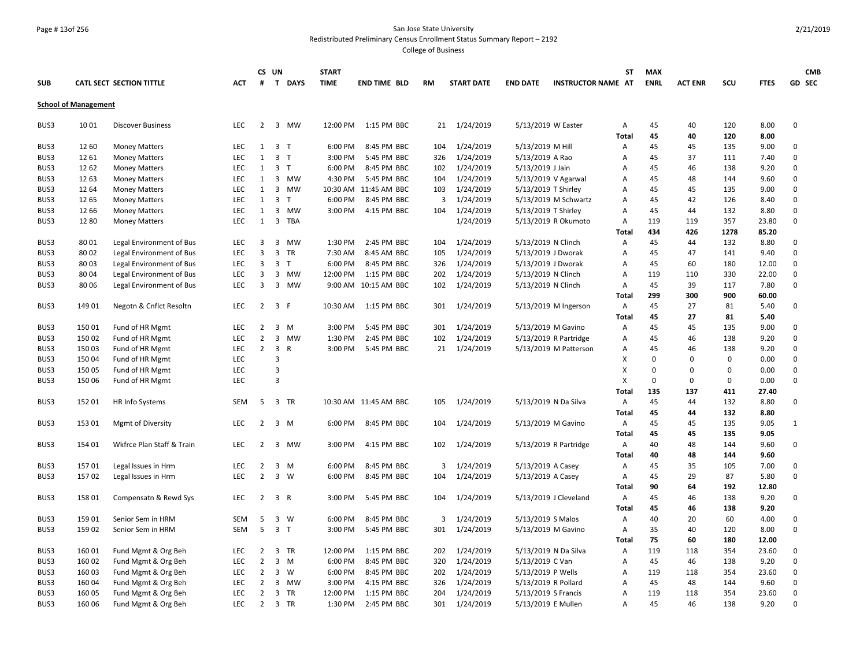#### Page # 13of 256 San Jose State University Redistributed Preliminary Census Enrollment Status Summary Report – 2192

|            |                             |                           |            |                                  | CS UN          |                | <b>START</b> |                       |           |                        |                   |                           | <b>ST</b>      | <b>MAX</b>  |                |            |              | <b>CMB</b>  |
|------------|-----------------------------|---------------------------|------------|----------------------------------|----------------|----------------|--------------|-----------------------|-----------|------------------------|-------------------|---------------------------|----------------|-------------|----------------|------------|--------------|-------------|
| <b>SUB</b> |                             | CATL SECT SECTION TITTLE  | <b>ACT</b> | #                                |                | T DAYS         | <b>TIME</b>  | <b>END TIME BLD</b>   | <b>RM</b> | <b>START DATE</b>      | <b>END DATE</b>   | <b>INSTRUCTOR NAME AT</b> |                | <b>ENRL</b> | <b>ACT ENR</b> | SCU        | <b>FTES</b>  | GD SEC      |
|            | <b>School of Management</b> |                           |            |                                  |                |                |              |                       |           |                        |                   |                           |                |             |                |            |              |             |
| BUS3       | 1001                        | <b>Discover Business</b>  | <b>LEC</b> | $\overline{2}$                   |                | 3 MW           | 12:00 PM     | 1:15 PM BBC           |           | 21 1/24/2019           |                   | 5/13/2019 W Easter        | Α              | 45          | 40             | 120        | 8.00         | 0           |
|            |                             |                           |            |                                  |                |                |              |                       |           |                        |                   |                           | Total          | 45          | 40             | 120        | 8.00         |             |
| BUS3       | 12 60                       | <b>Money Matters</b>      | <b>LEC</b> | $\mathbf{1}$                     | 3 <sub>T</sub> |                | 6:00 PM      | 8:45 PM BBC           | 104       | 1/24/2019              | 5/13/2019 M Hill  |                           | Α              | 45          | 45             | 135        | 9.00         | 0           |
| BUS3       | 12 61                       | <b>Money Matters</b>      | <b>LEC</b> | 1                                | 3 <sub>T</sub> |                | 3:00 PM      | 5:45 PM BBC           | 326       | 1/24/2019              | 5/13/2019 A Rao   |                           | $\overline{A}$ | 45          | 37             | 111        | 7.40         | 0           |
| BUS3       | 12 62                       | <b>Money Matters</b>      | <b>LEC</b> | 1                                | 3 <sub>T</sub> |                | 6:00 PM      | 8:45 PM BBC           | 102       | 1/24/2019              | 5/13/2019 J Jain  |                           | A              | 45          | 46             | 138        | 9.20         | 0           |
| BUS3       | 12 63                       | <b>Money Matters</b>      | <b>LEC</b> | 1                                |                | 3 MW           | 4:30 PM      | 5:45 PM BBC           | 104       | 1/24/2019              |                   | 5/13/2019 V Agarwal       | $\overline{A}$ | 45          | 48             | 144        | 9.60         | $\mathbf 0$ |
| BUS3       | 12 64                       | <b>Money Matters</b>      | <b>LEC</b> | $\mathbf{1}$                     | $\overline{3}$ | MW             |              | 10:30 AM 11:45 AM BBC | 103       | 1/24/2019              |                   | 5/13/2019 T Shirley       | Α              | 45          | 45             | 135        | 9.00         | 0           |
| BUS3       | 12 65                       | <b>Money Matters</b>      | <b>LEC</b> | 1                                | 3 <sub>1</sub> |                | 6:00 PM      | 8:45 PM BBC           | 3         | 1/24/2019              |                   | 5/13/2019 M Schwartz      | Α              | 45          | 42             | 126        | 8.40         | 0           |
| BUS3       | 12 66                       | <b>Money Matters</b>      | LEC        | 1                                |                | 3 MW           | 3:00 PM      | 4:15 PM BBC           | 104       | 1/24/2019              |                   | 5/13/2019 T Shirley       | Α              | 45          | 44             | 132        | 8.80         | 0           |
| BUS3       | 1280                        | <b>Money Matters</b>      | <b>LEC</b> |                                  |                | 1 3 TBA        |              |                       |           | 1/24/2019              |                   | 5/13/2019 R Okumoto       | Α              | 119         | 119            | 357        | 23.80        | 0           |
|            |                             |                           |            |                                  |                |                |              |                       |           |                        |                   |                           | Total          | 434         | 426            | 1278       | 85.20        |             |
| BUS3       | 8001                        | Legal Environment of Bus  | LEC        | 3                                |                | 3 MW           | 1:30 PM      | 2:45 PM BBC           | 104       | 1/24/2019              |                   | 5/13/2019 N Clinch        | Α              | 45          | 44             | 132        | 8.80         | 0           |
| BUS3       | 8002                        | Legal Environment of Bus  | <b>LEC</b> | 3                                | $\overline{3}$ | TR             | 7:30 AM      | 8:45 AM BBC           | 105       | 1/24/2019              |                   | 5/13/2019 J Dworak        | Α              | 45          | 47             | 141        | 9.40         | $\mathbf 0$ |
| BUS3       | 80 03                       | Legal Environment of Bus  | <b>LEC</b> | 3                                |                | 3 <sub>1</sub> | 6:00 PM      | 8:45 PM BBC           | 326       | 1/24/2019              |                   | 5/13/2019 J Dworak        | Α              | 45          | 60             | 180        | 12.00        | $\mathbf 0$ |
| BUS3       | 80 04                       | Legal Environment of Bus  | LEC        | 3                                |                | 3 MW           | 12:00 PM     | 1:15 PM BBC           | 202       | 1/24/2019              |                   | 5/13/2019 N Clinch        | Α              | 119         | 110            | 330        | 22.00        | 0           |
| BUS3       | 8006                        | Legal Environment of Bus  | <b>LEC</b> | $\overline{3}$                   |                | 3 MW           |              | 9:00 AM 10:15 AM BBC  | 102       | 1/24/2019              |                   | 5/13/2019 N Clinch        | Α              | 45          | 39             | 117        | 7.80         | 0           |
|            |                             |                           |            |                                  |                |                |              |                       |           |                        |                   |                           | Total          | 299         | 300            | 900        | 60.00        |             |
| BUS3       | 149 01                      | Negotn & Cnflct Resoltn   | LEC        | $\overline{2}$                   | 3 F            |                | 10:30 AM     | 1:15 PM BBC           | 301       | 1/24/2019              |                   | 5/13/2019 M Ingerson      | Α              | 45          | 27             | 81         | 5.40         | 0           |
|            |                             |                           |            |                                  |                |                |              |                       |           |                        |                   |                           | Total          | 45          | 27             | 81         | 5.40         |             |
| BUS3       | 15001                       | Fund of HR Mgmt           | <b>LEC</b> | 2                                | 3              | M              | 3:00 PM      | 5:45 PM BBC           | 301       | 1/24/2019              |                   | 5/13/2019 M Gavino        | Α              | 45          | 45             | 135        | 9.00         | 0           |
| BUS3       | 150 02                      | Fund of HR Mgmt           | <b>LEC</b> | $\overline{2}$                   |                | 3 MW           | 1:30 PM      | 2:45 PM BBC           | 102       | 1/24/2019              |                   | 5/13/2019 R Partridge     | Α              | 45          | 46             | 138        | 9.20         | $\mathbf 0$ |
| BUS3       | 15003                       | Fund of HR Mgmt           | <b>LEC</b> | $\overline{2}$                   | $\overline{3}$ | $\mathsf{R}$   | 3:00 PM      | 5:45 PM BBC           |           | 21 1/24/2019           |                   | 5/13/2019 M Patterson     | Α              | 45          | 46             | 138        | 9.20         | 0           |
| BUS3       | 150 04                      | Fund of HR Mgmt           | <b>LEC</b> |                                  | $\overline{3}$ |                |              |                       |           |                        |                   |                           | X              | $\Omega$    | 0              | 0          | 0.00         | 0           |
| BUS3       | 150 05                      | Fund of HR Mgmt           | LEC        |                                  | $\overline{3}$ |                |              |                       |           |                        |                   |                           | X              | $\mathbf 0$ | $\pmb{0}$      | 0          | 0.00         | 0           |
| BUS3       | 150 06                      | Fund of HR Mgmt           | LEC        |                                  | 3              |                |              |                       |           |                        |                   |                           | X              | $\Omega$    | $\mathbf 0$    | 0          | 0.00         | $\mathbf 0$ |
|            |                             |                           |            |                                  |                |                |              |                       |           |                        |                   |                           | Total          | 135         | 137            | 411        | 27.40        |             |
| BUS3       | 152 01                      | HR Info Systems           | <b>SEM</b> | 5                                |                | 3 TR           |              | 10:30 AM 11:45 AM BBC | 105       | 1/24/2019              |                   | 5/13/2019 N Da Silva      | Α              | 45          | 44             | 132        | 8.80         | 0           |
|            |                             |                           |            |                                  |                |                |              |                       |           |                        |                   |                           | Total          | 45          | 44             | 132        | 8.80         |             |
| BUS3       | 153 01                      | <b>Mgmt of Diversity</b>  | <b>LEC</b> | 2                                |                | 3 M            | 6:00 PM      | 8:45 PM BBC           | 104       | 1/24/2019              |                   | 5/13/2019 M Gavino        | Α              | 45          | 45             | 135        | 9.05         | 1           |
|            |                             |                           |            |                                  |                |                |              |                       |           |                        |                   |                           | Total          | 45          | 45             | 135        | 9.05         |             |
| BUS3       | 154 01                      | Wkfrce Plan Staff & Train | <b>LEC</b> | 2                                | $\mathbf{3}$   | MW             | 3:00 PM      | 4:15 PM BBC           | 102       | 1/24/2019              |                   | 5/13/2019 R Partridge     | Α              | 40<br>40    | 48<br>48       | 144<br>144 | 9.60<br>9.60 | 0           |
|            | 15701                       |                           | <b>LEC</b> |                                  | $\overline{3}$ |                | 6:00 PM      | 8:45 PM BBC           |           |                        |                   |                           | Total          | 45          | 35             | 105        |              | 0           |
| BUS3       | 15702                       | Legal Issues in Hrm       | <b>LEC</b> | $\overline{2}$<br>$\overline{2}$ |                | M<br>3 W       | 6:00 PM      | 8:45 PM BBC           | 3<br>104  | 1/24/2019<br>1/24/2019 |                   | 5/13/2019 A Casey         | Α<br>Α         | 45          | 29             | 87         | 7.00<br>5.80 | 0           |
| BUS3       |                             | Legal Issues in Hrm       |            |                                  |                |                |              |                       |           |                        |                   | 5/13/2019 A Casey         | Total          | 90          | 64             | 192        | 12.80        |             |
| BUS3       | 158 01                      | Compensatn & Rewd Sys     | <b>LEC</b> | $2^{\circ}$                      | 3 R            |                | 3:00 PM      | 5:45 PM BBC           | 104       | 1/24/2019              |                   | 5/13/2019 J Cleveland     | Α              | 45          | 46             | 138        | 9.20         | 0           |
|            |                             |                           |            |                                  |                |                |              |                       |           |                        |                   |                           | <b>Total</b>   | 45          | 46             | 138        | 9.20         |             |
| BUS3       | 159 01                      | Senior Sem in HRM         | SEM        | 5                                | $\overline{3}$ | <b>W</b>       | 6:00 PM      | 8:45 PM BBC           | 3         | 1/24/2019              |                   | 5/13/2019 S Malos         | Α              | 40          | 20             | 60         | 4.00         | 0           |
| BUS3       | 159 02                      | Senior Sem in HRM         | SEM        | 5                                | 3 <sub>1</sub> |                | 3:00 PM      | 5:45 PM BBC           | 301       | 1/24/2019              |                   | 5/13/2019 M Gavino        | Α              | 35          | 40             | 120        | 8.00         | 0           |
|            |                             |                           |            |                                  |                |                |              |                       |           |                        |                   |                           | <b>Total</b>   | 75          | 60             | 180        | 12.00        |             |
| BUS3       | 160 01                      | Fund Mgmt & Org Beh       | <b>LEC</b> | $\overline{2}$                   |                | 3 TR           | 12:00 PM     | 1:15 PM BBC           | 202       | 1/24/2019              |                   | 5/13/2019 N Da Silva      |                | 119         | 118            | 354        | 23.60        | 0           |
| BUS3       | 160 02                      | Fund Mgmt & Org Beh       | <b>LEC</b> | $\overline{2}$                   |                | $3 \, M$       | 6:00 PM      | 8:45 PM BBC           | 320       | 1/24/2019              | 5/13/2019 C Van   |                           | Α<br>Α         | 45          | 46             | 138        | 9.20         | 0           |
| BUS3       | 160 03                      | Fund Mgmt & Org Beh       | LEC        | $\overline{2}$                   |                | 3 W            | 6:00 PM      | 8:45 PM BBC           | 202       | 1/24/2019              | 5/13/2019 P Wells |                           | $\overline{A}$ | 119         | 118            | 354        | 23.60        | 0           |
| BUS3       | 160 04                      | Fund Mgmt & Org Beh       | <b>LEC</b> | 2                                |                | 3 MW           | 3:00 PM      | 4:15 PM BBC           | 326       | 1/24/2019              |                   | 5/13/2019 R Pollard       | Α              | 45          | 48             | 144        | 9.60         | 0           |
| BUS3       | 160 05                      | Fund Mgmt & Org Beh       | <b>LEC</b> | $\overline{2}$                   |                | 3 TR           | 12:00 PM     | 1:15 PM BBC           | 204       | 1/24/2019              |                   | 5/13/2019 S Francis       | Α              | 119         | 118            | 354        | 23.60        | 0           |
| BUS3       | 160 06                      | Fund Mgmt & Org Beh       | LEC.       | $\overline{2}$                   |                | 3 TR           | 1:30 PM      | 2:45 PM BBC           | 301       | 1/24/2019              |                   | 5/13/2019 E Mullen        | Α              | 45          | 46             | 138        | 9.20         | $\Omega$    |
|            |                             |                           |            |                                  |                |                |              |                       |           |                        |                   |                           |                |             |                |            |              |             |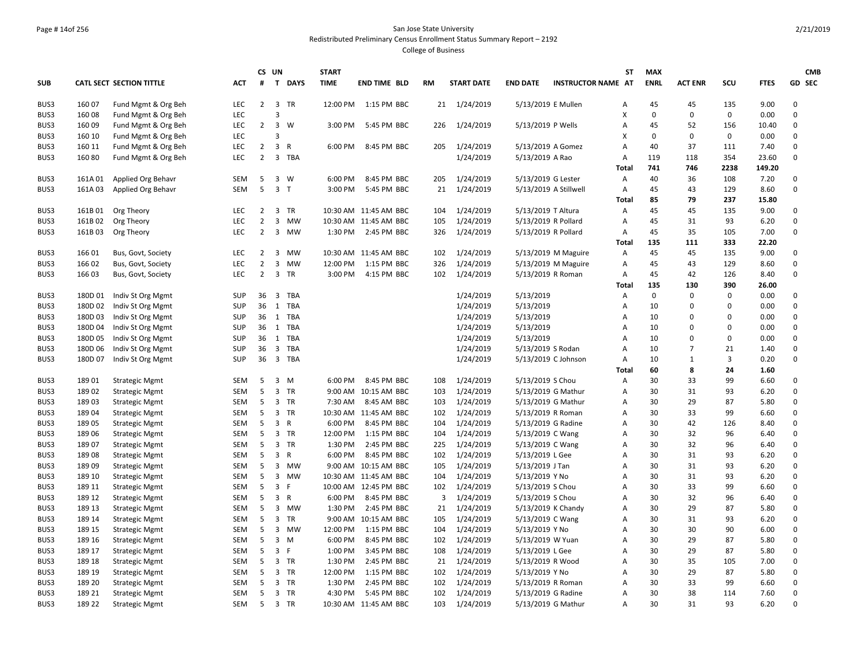## Page # 14of 256 San Jose State University Redistributed Preliminary Census Enrollment Status Summary Report – 2192

|            |         |                           |            | <b>CS</b><br>UN |                         |                | <b>START</b> |                       |                |                   |                   |                           |              | <b>MAX</b>  |                |          | <b>CMB</b>  |             |
|------------|---------|---------------------------|------------|-----------------|-------------------------|----------------|--------------|-----------------------|----------------|-------------------|-------------------|---------------------------|--------------|-------------|----------------|----------|-------------|-------------|
| <b>SUB</b> |         | CATL SECT SECTION TITTLE  | <b>ACT</b> | #               | $\mathbf{T}$            | <b>DAYS</b>    | <b>TIME</b>  | <b>END TIME BLD</b>   | <b>RM</b>      | <b>START DATE</b> | <b>END DATE</b>   | <b>INSTRUCTOR NAME AT</b> |              | <b>ENRL</b> | <b>ACT ENR</b> | SCU      | <b>FTES</b> | GD SEC      |
| BUS3       | 160 07  | Fund Mgmt & Org Beh       | <b>LEC</b> | 2               |                         | 3 TR           |              | 12:00 PM 1:15 PM BBC  |                | 21 1/24/2019      |                   | 5/13/2019 E Mullen        | А            | 45          | 45             | 135      | 9.00        | 0           |
| BUS3       | 160 08  | Fund Mgmt & Org Beh       | <b>LEC</b> |                 | 3                       |                |              |                       |                |                   |                   |                           | X            | 0           | $\mathsf 0$    | 0        | 0.00        | 0           |
| BUS3       | 16009   | Fund Mgmt & Org Beh       | LEC.       | $\overline{2}$  | $\overline{\mathbf{3}}$ | W              | 3:00 PM      | 5:45 PM BBC           | 226            | 1/24/2019         | 5/13/2019 P Wells |                           | A            | 45          | 52             | 156      | 10.40       | $\mathbf 0$ |
| BUS3       | 160 10  | Fund Mgmt & Org Beh       | <b>LEC</b> |                 | 3                       |                |              |                       |                |                   |                   |                           | X            | $\mathbf 0$ | $\mathbf 0$    | 0        | 0.00        | 0           |
| BUS3       | 160 11  | Fund Mgmt & Org Beh       | <b>LEC</b> | $\overline{2}$  | 3 R                     |                | 6:00 PM      | 8:45 PM BBC           | 205            | 1/24/2019         |                   | 5/13/2019 A Gomez         | Α            | 40          | 37             | 111      | 7.40        | $\mathbf 0$ |
| BUS3       | 16080   | Fund Mgmt & Org Beh       | LEC        | $\overline{2}$  |                         | 3 TBA          |              |                       |                | 1/24/2019         | 5/13/2019 A Rao   |                           | Α            | 119         | 118            | 354      | 23.60       | 0           |
|            |         |                           |            |                 |                         |                |              |                       |                |                   |                   |                           | <b>Total</b> | 741         | 746            | 2238     | 149.20      |             |
| BUS3       | 161A01  | Applied Org Behavr        | SEM        | 5               |                         | $3 \quad W$    | 6:00 PM      | 8:45 PM BBC           | 205            | 1/24/2019         |                   | 5/13/2019 G Lester        | Α            | 40          | 36             | 108      | 7.20        | 0           |
| BUS3       | 161A03  | Applied Org Behavr        | <b>SEM</b> | 5               |                         | 3 <sub>T</sub> | 3:00 PM      | 5:45 PM BBC           | 21             | 1/24/2019         |                   | 5/13/2019 A Stillwell     | Α            | 45          | 43             | 129      | 8.60        | 0           |
|            |         |                           |            |                 |                         |                |              |                       |                |                   |                   |                           | <b>Total</b> | 85          | 79             | 237      | 15.80       |             |
| BUS3       | 161B01  | Org Theory                | <b>LEC</b> | $\overline{2}$  |                         | 3 TR           |              | 10:30 AM 11:45 AM BBC | 104            | 1/24/2019         |                   | 5/13/2019 T Altura        | Α            | 45          | 45             | 135      | 9.00        | 0           |
| BUS3       | 161B02  | Org Theory                | <b>LEC</b> | $\overline{2}$  | 3                       | <b>MW</b>      |              | 10:30 AM 11:45 AM BBC | 105            | 1/24/2019         |                   | 5/13/2019 R Pollard       | A            | 45          | 31             | 93       | 6.20        | 0           |
| BUS3       | 161B03  | Org Theory                | <b>LEC</b> | $\overline{2}$  |                         | 3 MW           |              | 1:30 PM 2:45 PM BBC   | 326            | 1/24/2019         |                   | 5/13/2019 R Pollard       | Α            | 45          | 35             | 105      | 7.00        | 0           |
|            |         |                           |            |                 |                         |                |              |                       |                |                   |                   |                           | Total        | 135         | 111            | 333      | 22.20       |             |
| BUS3       | 16601   | Bus, Govt, Society        | <b>LEC</b> | $\overline{2}$  |                         | 3 MW           |              | 10:30 AM 11:45 AM BBC | 102            | 1/24/2019         |                   | 5/13/2019 M Maguire       | Α            | 45          | 45             | 135      | 9.00        | 0           |
| BUS3       | 166 02  | Bus, Govt, Society        | LEC        | $\mathbf 2$     |                         | 3 MW           | 12:00 PM     | 1:15 PM BBC           | 326            | 1/24/2019         |                   | 5/13/2019 M Maguire       | Α            | 45          | 43             | 129      | 8.60        | 0           |
| BUS3       | 166 03  | Bus, Govt, Society        | <b>LEC</b> | $\overline{2}$  |                         | 3 TR           | 3:00 PM      | 4:15 PM BBC           | 102            | 1/24/2019         |                   | 5/13/2019 R Roman         | Α            | 45          | 42             | 126      | 8.40        | 0           |
|            |         |                           |            |                 |                         |                |              |                       |                |                   |                   |                           | <b>Total</b> | 135         | 130            | 390      | 26.00       |             |
| BUS3       |         | 180D 01 Indiv St Org Mgmt | <b>SUP</b> | 36              |                         | 3 TBA          |              |                       |                | 1/24/2019         | 5/13/2019         |                           | Α            | $\mathbf 0$ | $\mathbf 0$    | 0        | 0.00        | 0           |
| BUS3       | 180D 02 | Indiv St Org Mgmt         | <b>SUP</b> | 36              |                         | 1 TBA          |              |                       |                | 1/24/2019         | 5/13/2019         |                           | A            | 10          | 0              | 0        | 0.00        | 0           |
| BUS3       | 180D 03 | Indiv St Org Mgmt         | <b>SUP</b> |                 |                         | 36 1 TBA       |              |                       |                | 1/24/2019         | 5/13/2019         |                           | A            | 10          | $\Omega$       | $\Omega$ | 0.00        | $\mathbf 0$ |
| BUS3       | 180D 04 | Indiv St Org Mgmt         | <b>SUP</b> | 36              |                         | 1 TBA          |              |                       |                | 1/24/2019         | 5/13/2019         |                           | A            | 10          | $\mathbf 0$    | 0        | 0.00        | 0           |
| BUS3       | 180D 05 | Indiv St Org Mgmt         | <b>SUP</b> | 36              |                         | 1 TBA          |              |                       |                | 1/24/2019         | 5/13/2019         |                           | A            | 10          | $\mathbf 0$    | 0        | 0.00        | $\mathbf 0$ |
| BUS3       | 180D 06 | Indiv St Org Mgmt         | <b>SUP</b> | 36              |                         | 3 TBA          |              |                       |                | 1/24/2019         |                   | 5/13/2019 S Rodan         | Α            | 10          | $\overline{7}$ | 21       | 1.40        | 0           |
| BUS3       | 180D 07 | Indiv St Org Mgmt         | <b>SUP</b> | 36              |                         | 3 TBA          |              |                       |                | 1/24/2019         |                   | 5/13/2019 C Johnson       | Α            | 10          | $\mathbf{1}$   | 3        | 0.20        | 0           |
|            |         |                           |            |                 |                         |                |              |                       |                |                   |                   |                           | <b>Total</b> | 60          | 8              | 24       | 1.60        |             |
| BUS3       | 18901   | <b>Strategic Mgmt</b>     | SEM        | 5               |                         | $3 \, M$       | 6:00 PM      | 8:45 PM BBC           | 108            | 1/24/2019         | 5/13/2019 S Chou  |                           | Α            | 30          | 33             | 99       | 6.60        | 0           |
| BUS3       | 18902   | <b>Strategic Mgmt</b>     | SEM        | 5               |                         | 3 TR           |              | 9:00 AM 10:15 AM BBC  | 103            | 1/24/2019         |                   | 5/13/2019 G Mathur        | Α            | 30          | 31             | 93       | 6.20        | 0           |
| BUS3       | 18903   | <b>Strategic Mgmt</b>     | SEM        | 5               |                         | 3 TR           | 7:30 AM      | 8:45 AM BBC           | 103            | 1/24/2019         |                   | 5/13/2019 G Mathur        | Α            | 30          | 29             | 87       | 5.80        | $\mathbf 0$ |
| BUS3       | 18904   | <b>Strategic Mgmt</b>     | SEM        | 5               |                         | 3 TR           |              | 10:30 AM 11:45 AM BBC | 102            | 1/24/2019         |                   | 5/13/2019 R Roman         | Α            | 30          | 33             | 99       | 6.60        | 0           |
| BUS3       | 18905   | <b>Strategic Mgmt</b>     | SEM        | 5               |                         | 3 R            | 6:00 PM      | 8:45 PM BBC           | 104            | 1/24/2019         |                   | 5/13/2019 G Radine        | A            | 30          | 42             | 126      | 8.40        | $\mathbf 0$ |
| BUS3       | 18906   | <b>Strategic Mgmt</b>     | SEM        | 5               |                         | 3 TR           | 12:00 PM     | 1:15 PM BBC           | 104            | 1/24/2019         |                   | 5/13/2019 C Wang          | A            | 30          | 32             | 96       | 6.40        | 0           |
| BUS3       | 18907   | <b>Strategic Mgmt</b>     | SEM        | 5               |                         | 3 TR           | 1:30 PM      | 2:45 PM BBC           | 225            | 1/24/2019         |                   | 5/13/2019 C Wang          | A            | 30          | 32             | 96       | 6.40        | 0           |
| BUS3       | 18908   | <b>Strategic Mgmt</b>     | SEM        | 5               |                         | 3 R            | 6:00 PM      | 8:45 PM BBC           | 102            | 1/24/2019         | 5/13/2019 L Gee   |                           | A            | 30          | 31             | 93       | 6.20        | 0           |
| BUS3       | 18909   | <b>Strategic Mgmt</b>     | <b>SEM</b> | 5               |                         | 3 MW           |              | 9:00 AM 10:15 AM BBC  | 105            | 1/24/2019         | 5/13/2019 J Tan   |                           | A            | 30          | 31             | 93       | 6.20        | $\mathbf 0$ |
| BUS3       | 189 10  | <b>Strategic Mgmt</b>     | SEM        | 5               |                         | 3 MW           |              | 10:30 AM 11:45 AM BBC | 104            | 1/24/2019         | 5/13/2019 Y No    |                           | A            | 30          | 31             | 93       | 6.20        | 0           |
| BUS3       | 189 11  | <b>Strategic Mgmt</b>     | <b>SEM</b> | 5               | $\overline{3}$          | F              |              | 10:00 AM 12:45 PM BBC | 102            | 1/24/2019         | 5/13/2019 S Chou  |                           | A            | 30          | 33             | 99       | 6.60        | $\mathbf 0$ |
| BUS3       | 189 12  | <b>Strategic Mgmt</b>     | SEM        | 5               | 3 R                     |                | 6:00 PM      | 8:45 PM BBC           | $\overline{3}$ | 1/24/2019         | 5/13/2019 S Chou  |                           | A            | 30          | 32             | 96       | 6.40        | 0           |
| BUS3       | 189 13  | <b>Strategic Mgmt</b>     | SEM        | 5               | $\overline{3}$          | MW             | 1:30 PM      | 2:45 PM BBC           | 21             | 1/24/2019         |                   | 5/13/2019 K Chandy        | A            | 30          | 29             | 87       | 5.80        | 0           |
| BUS3       | 189 14  | <b>Strategic Mgmt</b>     | SEM        | 5               |                         | 3 TR           |              | 9:00 AM 10:15 AM BBC  | 105            | 1/24/2019         |                   | 5/13/2019 C Wang          | A            | 30          | 31             | 93       | 6.20        | 0           |
| BUS3       | 189 15  | <b>Strategic Mgmt</b>     | SEM        | 5               |                         | 3 MW           | 12:00 PM     | 1:15 PM BBC           | 104            | 1/24/2019         | 5/13/2019 Y No    |                           | A            | 30          | 30             | 90       | 6.00        | $\mathbf 0$ |
| BUS3       | 189 16  | <b>Strategic Mgmt</b>     | SEM        | 5               |                         | $3 \, M$       | 6:00 PM      | 8:45 PM BBC           | 102            | 1/24/2019         | 5/13/2019 W Yuan  |                           | A            | 30          | 29             | 87       | 5.80        | 0           |
| BUS3       | 189 17  | <b>Strategic Mgmt</b>     | SEM        | 5               | 3 F                     |                | 1:00 PM      | 3:45 PM BBC           | 108            | 1/24/2019         | 5/13/2019 L Gee   |                           | Α            | 30          | 29             | 87       | 5.80        | $\mathbf 0$ |
| BUS3       | 189 18  | <b>Strategic Mgmt</b>     | SEM        | 5               |                         | 3 TR           | 1:30 PM      | 2:45 PM BBC           | 21             | 1/24/2019         |                   | 5/13/2019 R Wood          | Α            | 30          | 35             | 105      | 7.00        | 0           |
| BUS3       | 189 19  | <b>Strategic Mgmt</b>     | SEM        | 5               |                         | 3 TR           | 12:00 PM     | 1:15 PM BBC           | 102            | 1/24/2019         | 5/13/2019 Y No    |                           | A            | 30          | 29             | 87       | 5.80        | 0           |
| BUS3       | 189 20  | <b>Strategic Mgmt</b>     | SEM        | 5               |                         | 3 TR           | 1:30 PM      | 2:45 PM BBC           | 102            | 1/24/2019         |                   | 5/13/2019 R Roman         | A            | 30          | 33             | 99       | 6.60        | 0           |
| BUS3       | 189 21  | <b>Strategic Mgmt</b>     | SEM        | 5               |                         | 3 TR           | 4:30 PM      | 5:45 PM BBC           | 102            | 1/24/2019         |                   | 5/13/2019 G Radine        | A            | 30          | 38             | 114      | 7.60        | $\mathbf 0$ |
| BUS3       | 189 22  | <b>Strategic Mgmt</b>     | SEM        |                 |                         | 5 3 TR         |              | 10:30 AM 11:45 AM BBC | 103            | 1/24/2019         |                   | 5/13/2019 G Mathur        | A            | 30          | 31             | 93       | 6.20        | $\mathbf 0$ |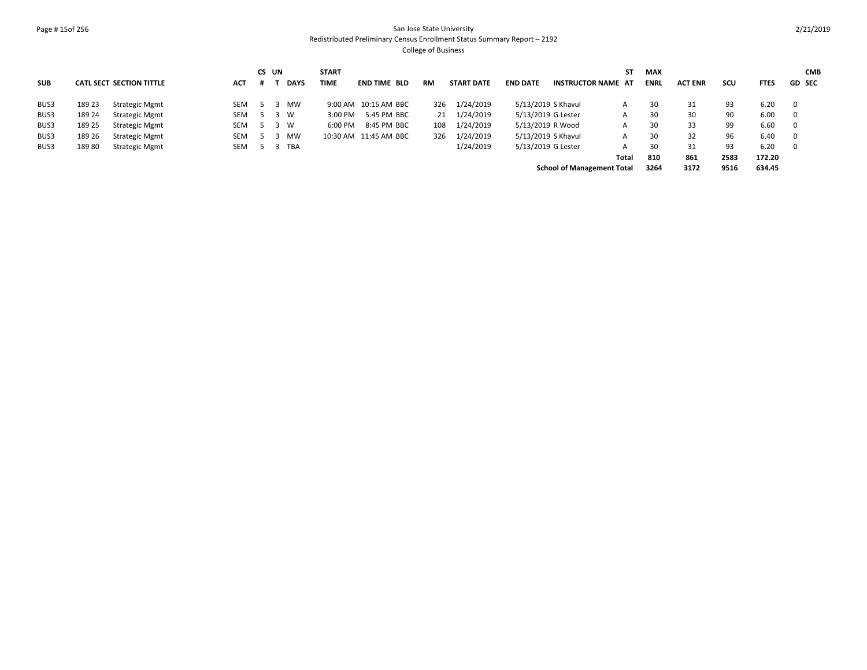### Page # 15of 256 San Jose State University Redistributed Preliminary Census Enrollment Status Summary Report – 2192 College of Business

**SUB CATL SECT SECTION TITTLE ACT CS UN # T DAYS START TIME END TIME BLD RM START DATE END DATE INSTRUCTOR NAME AT ST MAX ENRL ACT ENR SCU FTES GD CMB SEC** BUS3 189 23 Strategic Mgmt SEM 5 3 MW 9:00 AM 10:15 AM BBC 326 1/24/2019 5/13/2019 S Khavul A 30 31 93 6.20 0 BUS3 189 24 Strategic Mgmt SEM 5 3 W 3:00 PM 5:45 PM BBC 21 1/24/2019 5/13/2019 G Lester A 30 30 90 6.00 0 BUS3 189 25 Strategic Mgmt SEM 5 3 W 6:00 PM 8:45 PM BBC 108 1/24/2019 5/13/2019 R Wood A 30 33 99 6.60 0 BUS3 189 26 Strategic Mgmt SEM 5 3 MW 10:30 AM 11:45 AM BBC 326 1/24/2019 5/13/2019 S Khavul A 30 32 96 6.40 0 BUS3 189 80 Strategic Mgmt SEM 5 3 TBA 1/24/2019 5/13/2019 G Lester A 30 31 93 6.20 0 **810 861 2583 172.20 School of Management Total 3264 3172 9516 634.45 Total**